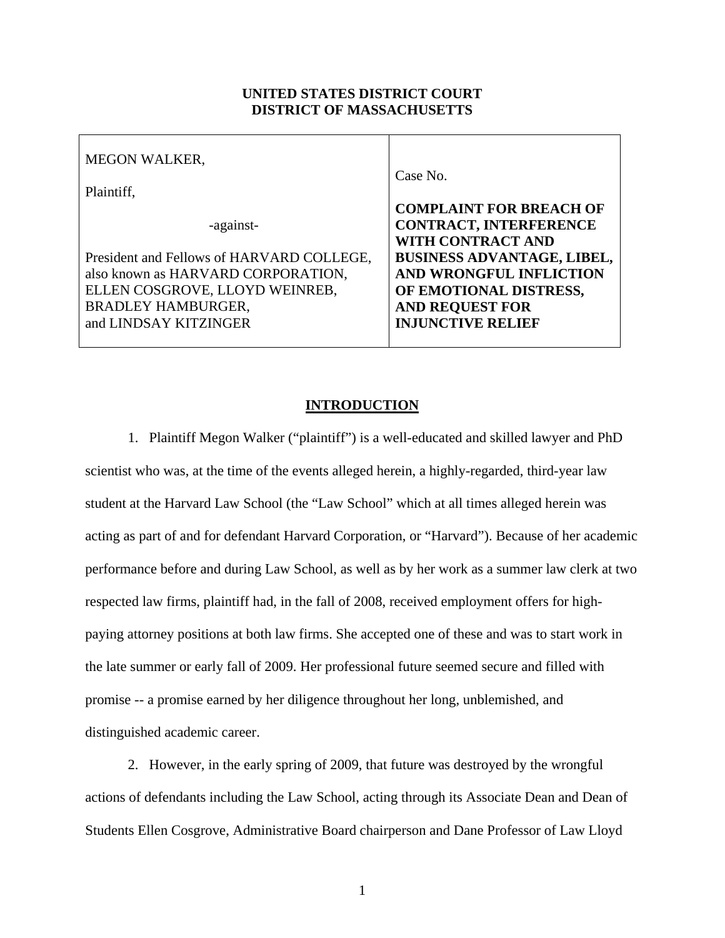## **UNITED STATES DISTRICT COURT DISTRICT OF MASSACHUSETTS**

| <b>MEGON WALKER,</b>                      | Case No.                          |
|-------------------------------------------|-----------------------------------|
| Plaintiff,                                |                                   |
|                                           | <b>COMPLAINT FOR BREACH OF</b>    |
| -against-                                 | <b>CONTRACT, INTERFERENCE</b>     |
|                                           | WITH CONTRACT AND                 |
| President and Fellows of HARVARD COLLEGE, | <b>BUSINESS ADVANTAGE, LIBEL,</b> |
| also known as HARVARD CORPORATION,        | AND WRONGFUL INFLICTION           |
| ELLEN COSGROVE, LLOYD WEINREB,            | OF EMOTIONAL DISTRESS,            |
| <b>BRADLEY HAMBURGER,</b>                 | <b>AND REQUEST FOR</b>            |
| and LINDSAY KITZINGER                     | <b>INJUNCTIVE RELIEF</b>          |
|                                           |                                   |

### **INTRODUCTION**

1. Plaintiff Megon Walker ("plaintiff") is a well-educated and skilled lawyer and PhD scientist who was, at the time of the events alleged herein, a highly-regarded, third-year law student at the Harvard Law School (the "Law School" which at all times alleged herein was acting as part of and for defendant Harvard Corporation, or "Harvard"). Because of her academic performance before and during Law School, as well as by her work as a summer law clerk at two respected law firms, plaintiff had, in the fall of 2008, received employment offers for highpaying attorney positions at both law firms. She accepted one of these and was to start work in the late summer or early fall of 2009. Her professional future seemed secure and filled with promise -- a promise earned by her diligence throughout her long, unblemished, and distinguished academic career.

2. However, in the early spring of 2009, that future was destroyed by the wrongful actions of defendants including the Law School, acting through its Associate Dean and Dean of Students Ellen Cosgrove, Administrative Board chairperson and Dane Professor of Law Lloyd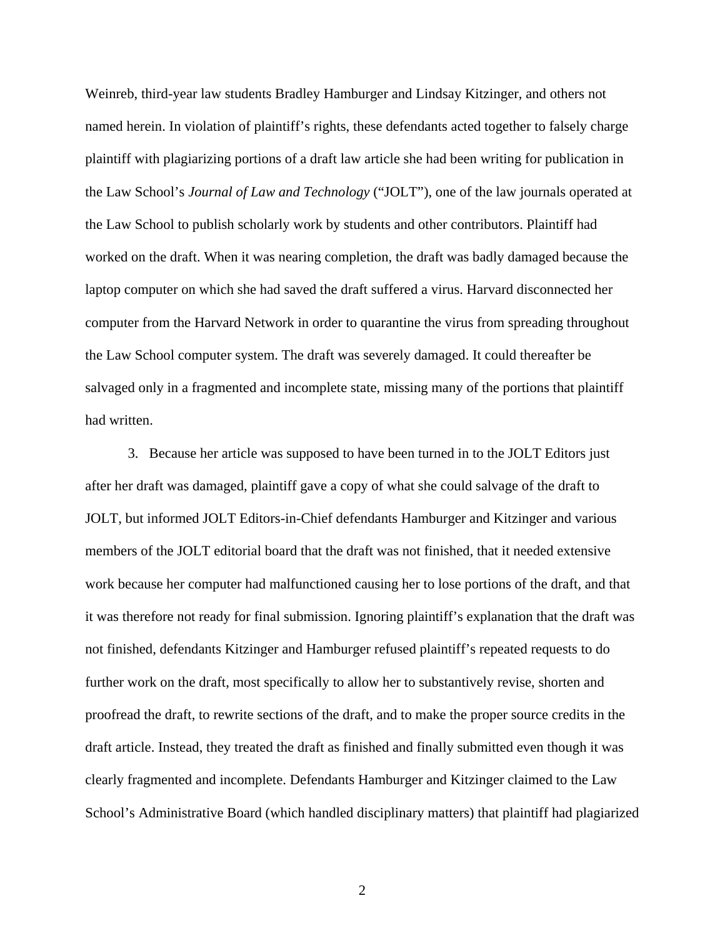Weinreb, third-year law students Bradley Hamburger and Lindsay Kitzinger, and others not named herein. In violation of plaintiff's rights, these defendants acted together to falsely charge plaintiff with plagiarizing portions of a draft law article she had been writing for publication in the Law School's *Journal of Law and Technology* ("JOLT"), one of the law journals operated at the Law School to publish scholarly work by students and other contributors. Plaintiff had worked on the draft. When it was nearing completion, the draft was badly damaged because the laptop computer on which she had saved the draft suffered a virus. Harvard disconnected her computer from the Harvard Network in order to quarantine the virus from spreading throughout the Law School computer system. The draft was severely damaged. It could thereafter be salvaged only in a fragmented and incomplete state, missing many of the portions that plaintiff had written.

3. Because her article was supposed to have been turned in to the JOLT Editors just after her draft was damaged, plaintiff gave a copy of what she could salvage of the draft to JOLT, but informed JOLT Editors-in-Chief defendants Hamburger and Kitzinger and various members of the JOLT editorial board that the draft was not finished, that it needed extensive work because her computer had malfunctioned causing her to lose portions of the draft, and that it was therefore not ready for final submission. Ignoring plaintiff's explanation that the draft was not finished, defendants Kitzinger and Hamburger refused plaintiff's repeated requests to do further work on the draft, most specifically to allow her to substantively revise, shorten and proofread the draft, to rewrite sections of the draft, and to make the proper source credits in the draft article. Instead, they treated the draft as finished and finally submitted even though it was clearly fragmented and incomplete. Defendants Hamburger and Kitzinger claimed to the Law School's Administrative Board (which handled disciplinary matters) that plaintiff had plagiarized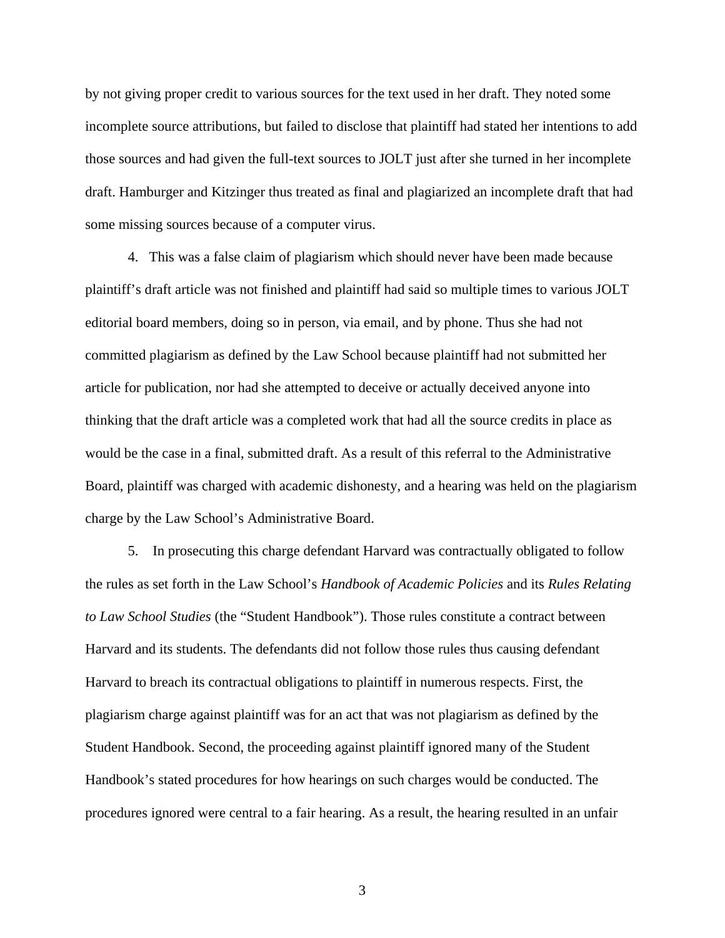by not giving proper credit to various sources for the text used in her draft. They noted some incomplete source attributions, but failed to disclose that plaintiff had stated her intentions to add those sources and had given the full-text sources to JOLT just after she turned in her incomplete draft. Hamburger and Kitzinger thus treated as final and plagiarized an incomplete draft that had some missing sources because of a computer virus.

4. This was a false claim of plagiarism which should never have been made because plaintiff's draft article was not finished and plaintiff had said so multiple times to various JOLT editorial board members, doing so in person, via email, and by phone. Thus she had not committed plagiarism as defined by the Law School because plaintiff had not submitted her article for publication, nor had she attempted to deceive or actually deceived anyone into thinking that the draft article was a completed work that had all the source credits in place as would be the case in a final, submitted draft. As a result of this referral to the Administrative Board, plaintiff was charged with academic dishonesty, and a hearing was held on the plagiarism charge by the Law School's Administrative Board.

5. In prosecuting this charge defendant Harvard was contractually obligated to follow the rules as set forth in the Law School's *Handbook of Academic Policies* and its *Rules Relating to Law School Studies* (the "Student Handbook"). Those rules constitute a contract between Harvard and its students. The defendants did not follow those rules thus causing defendant Harvard to breach its contractual obligations to plaintiff in numerous respects. First, the plagiarism charge against plaintiff was for an act that was not plagiarism as defined by the Student Handbook. Second, the proceeding against plaintiff ignored many of the Student Handbook's stated procedures for how hearings on such charges would be conducted. The procedures ignored were central to a fair hearing. As a result, the hearing resulted in an unfair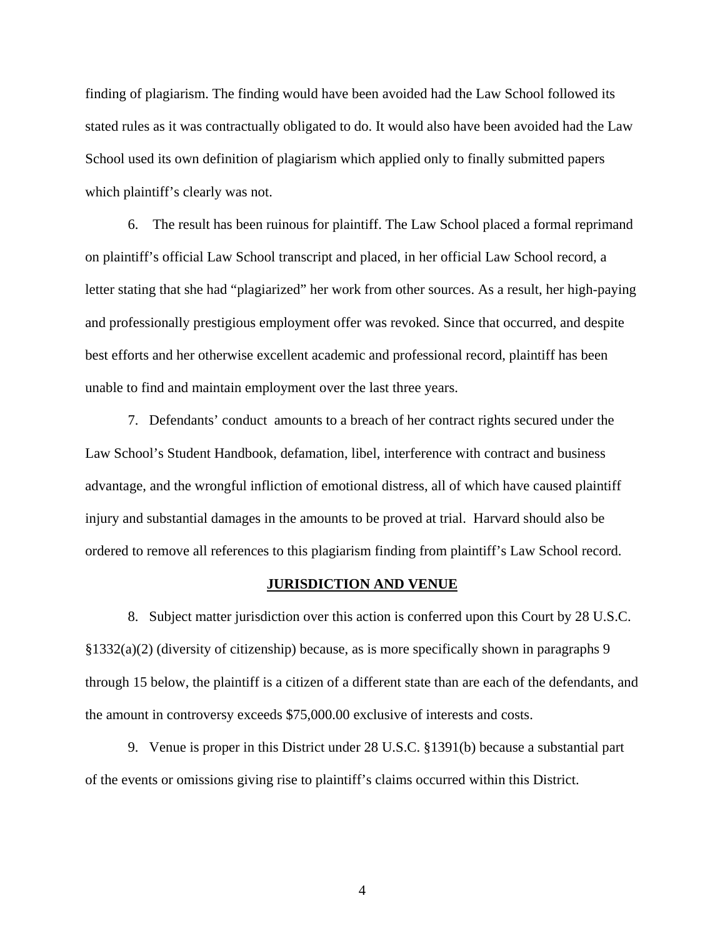finding of plagiarism. The finding would have been avoided had the Law School followed its stated rules as it was contractually obligated to do. It would also have been avoided had the Law School used its own definition of plagiarism which applied only to finally submitted papers which plaintiff's clearly was not.

6. The result has been ruinous for plaintiff. The Law School placed a formal reprimand on plaintiff's official Law School transcript and placed, in her official Law School record, a letter stating that she had "plagiarized" her work from other sources. As a result, her high-paying and professionally prestigious employment offer was revoked. Since that occurred, and despite best efforts and her otherwise excellent academic and professional record, plaintiff has been unable to find and maintain employment over the last three years.

7. Defendants' conduct amounts to a breach of her contract rights secured under the Law School's Student Handbook, defamation, libel, interference with contract and business advantage, and the wrongful infliction of emotional distress, all of which have caused plaintiff injury and substantial damages in the amounts to be proved at trial. Harvard should also be ordered to remove all references to this plagiarism finding from plaintiff's Law School record.

#### **JURISDICTION AND VENUE**

8. Subject matter jurisdiction over this action is conferred upon this Court by 28 U.S.C. §1332(a)(2) (diversity of citizenship) because, as is more specifically shown in paragraphs 9 through 15 below, the plaintiff is a citizen of a different state than are each of the defendants, and the amount in controversy exceeds \$75,000.00 exclusive of interests and costs.

9. Venue is proper in this District under 28 U.S.C. §1391(b) because a substantial part of the events or omissions giving rise to plaintiff's claims occurred within this District.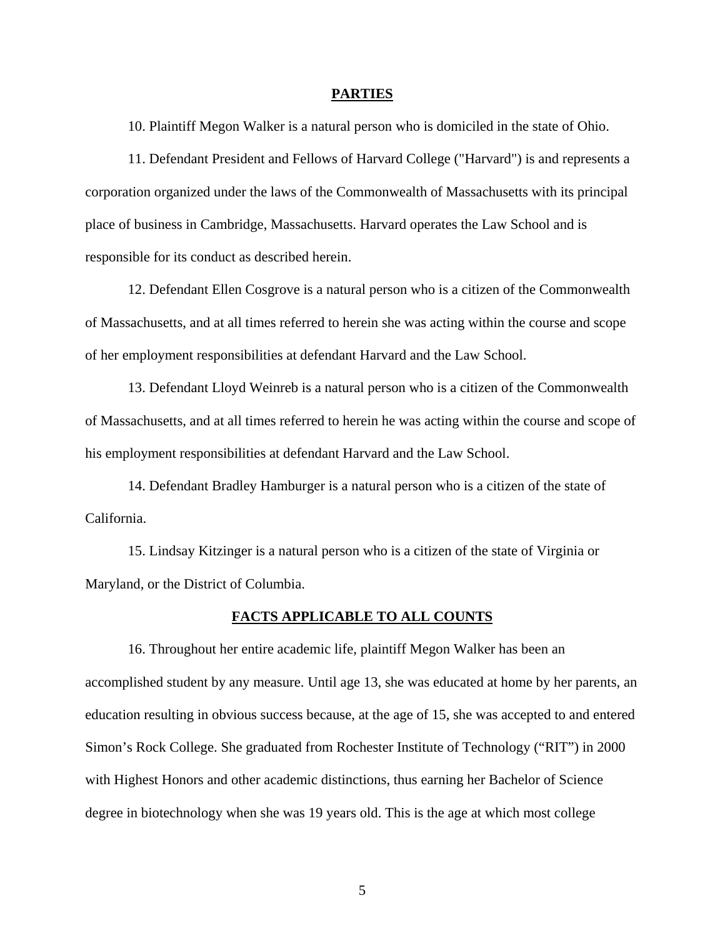#### **PARTIES**

10. Plaintiff Megon Walker is a natural person who is domiciled in the state of Ohio.

11. Defendant President and Fellows of Harvard College ("Harvard") is and represents a corporation organized under the laws of the Commonwealth of Massachusetts with its principal place of business in Cambridge, Massachusetts. Harvard operates the Law School and is responsible for its conduct as described herein.

12. Defendant Ellen Cosgrove is a natural person who is a citizen of the Commonwealth of Massachusetts, and at all times referred to herein she was acting within the course and scope of her employment responsibilities at defendant Harvard and the Law School.

13. Defendant Lloyd Weinreb is a natural person who is a citizen of the Commonwealth of Massachusetts, and at all times referred to herein he was acting within the course and scope of his employment responsibilities at defendant Harvard and the Law School.

14. Defendant Bradley Hamburger is a natural person who is a citizen of the state of California.

15. Lindsay Kitzinger is a natural person who is a citizen of the state of Virginia or Maryland, or the District of Columbia.

# **FACTS APPLICABLE TO ALL COUNTS**

16. Throughout her entire academic life, plaintiff Megon Walker has been an accomplished student by any measure. Until age 13, she was educated at home by her parents, an education resulting in obvious success because, at the age of 15, she was accepted to and entered Simon's Rock College. She graduated from Rochester Institute of Technology ("RIT") in 2000 with Highest Honors and other academic distinctions, thus earning her Bachelor of Science degree in biotechnology when she was 19 years old. This is the age at which most college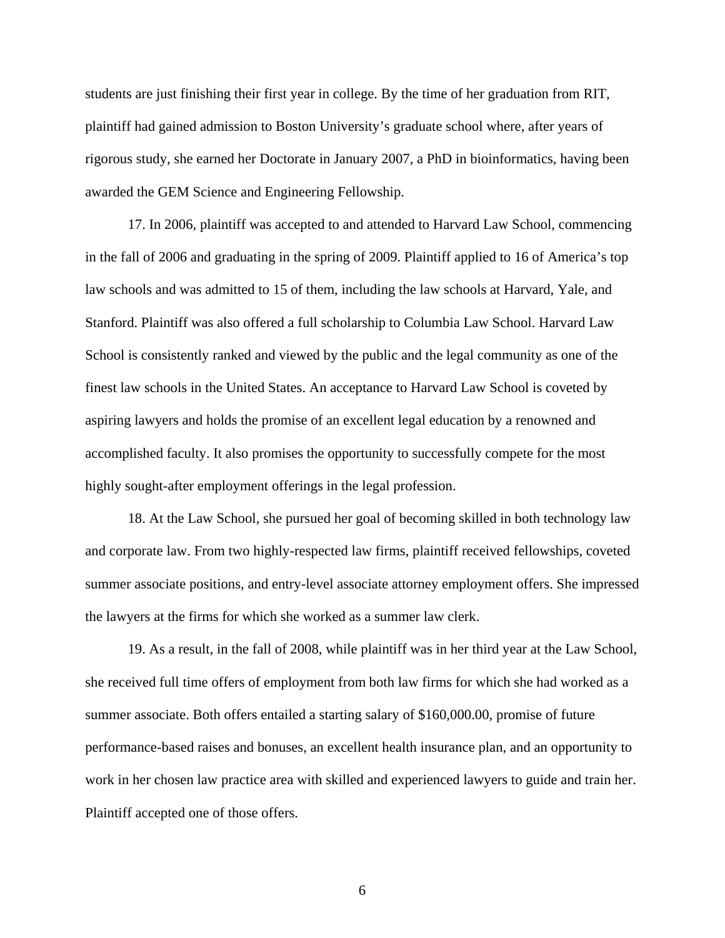students are just finishing their first year in college. By the time of her graduation from RIT, plaintiff had gained admission to Boston University's graduate school where, after years of rigorous study, she earned her Doctorate in January 2007, a PhD in bioinformatics, having been awarded the GEM Science and Engineering Fellowship.

17. In 2006, plaintiff was accepted to and attended to Harvard Law School, commencing in the fall of 2006 and graduating in the spring of 2009. Plaintiff applied to 16 of America's top law schools and was admitted to 15 of them, including the law schools at Harvard, Yale, and Stanford. Plaintiff was also offered a full scholarship to Columbia Law School. Harvard Law School is consistently ranked and viewed by the public and the legal community as one of the finest law schools in the United States. An acceptance to Harvard Law School is coveted by aspiring lawyers and holds the promise of an excellent legal education by a renowned and accomplished faculty. It also promises the opportunity to successfully compete for the most highly sought-after employment offerings in the legal profession.

18. At the Law School, she pursued her goal of becoming skilled in both technology law and corporate law. From two highly-respected law firms, plaintiff received fellowships, coveted summer associate positions, and entry-level associate attorney employment offers. She impressed the lawyers at the firms for which she worked as a summer law clerk.

19. As a result, in the fall of 2008, while plaintiff was in her third year at the Law School, she received full time offers of employment from both law firms for which she had worked as a summer associate. Both offers entailed a starting salary of \$160,000.00, promise of future performance-based raises and bonuses, an excellent health insurance plan, and an opportunity to work in her chosen law practice area with skilled and experienced lawyers to guide and train her. Plaintiff accepted one of those offers.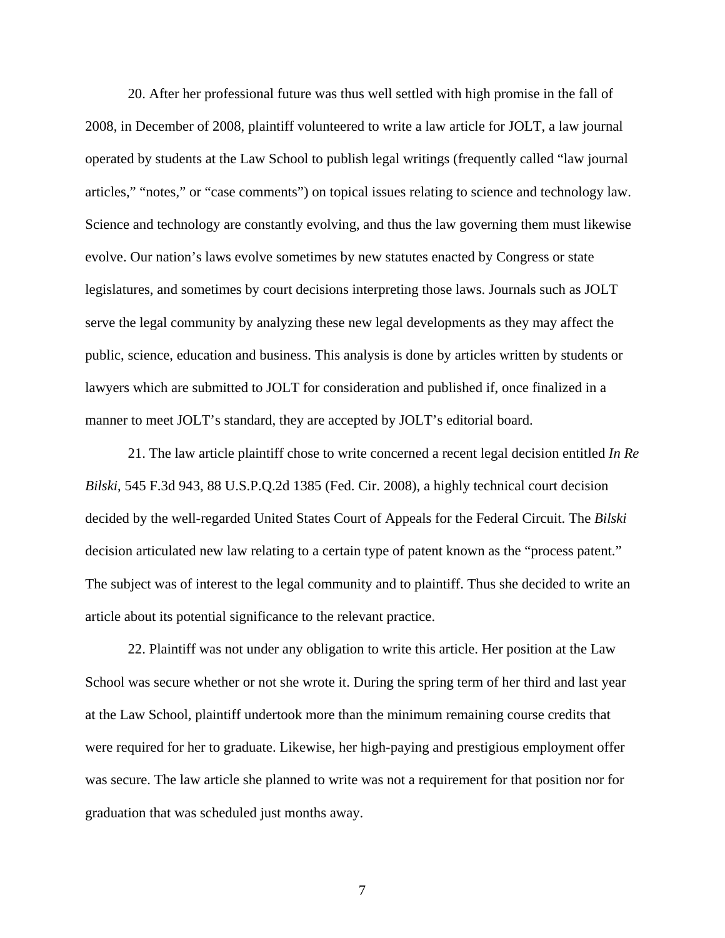20. After her professional future was thus well settled with high promise in the fall of 2008, in December of 2008, plaintiff volunteered to write a law article for JOLT, a law journal operated by students at the Law School to publish legal writings (frequently called "law journal articles," "notes," or "case comments") on topical issues relating to science and technology law. Science and technology are constantly evolving, and thus the law governing them must likewise evolve. Our nation's laws evolve sometimes by new statutes enacted by Congress or state legislatures, and sometimes by court decisions interpreting those laws. Journals such as JOLT serve the legal community by analyzing these new legal developments as they may affect the public, science, education and business. This analysis is done by articles written by students or lawyers which are submitted to JOLT for consideration and published if, once finalized in a manner to meet JOLT's standard, they are accepted by JOLT's editorial board.

21. The law article plaintiff chose to write concerned a recent legal decision entitled *In Re Bilski*, 545 F.3d 943, 88 U.S.P.Q.2d 1385 (Fed. Cir. 2008), a highly technical court decision decided by the well-regarded United States Court of Appeals for the Federal Circuit. The *Bilski* decision articulated new law relating to a certain type of patent known as the "process patent." The subject was of interest to the legal community and to plaintiff. Thus she decided to write an article about its potential significance to the relevant practice.

22. Plaintiff was not under any obligation to write this article. Her position at the Law School was secure whether or not she wrote it. During the spring term of her third and last year at the Law School, plaintiff undertook more than the minimum remaining course credits that were required for her to graduate. Likewise, her high-paying and prestigious employment offer was secure. The law article she planned to write was not a requirement for that position nor for graduation that was scheduled just months away.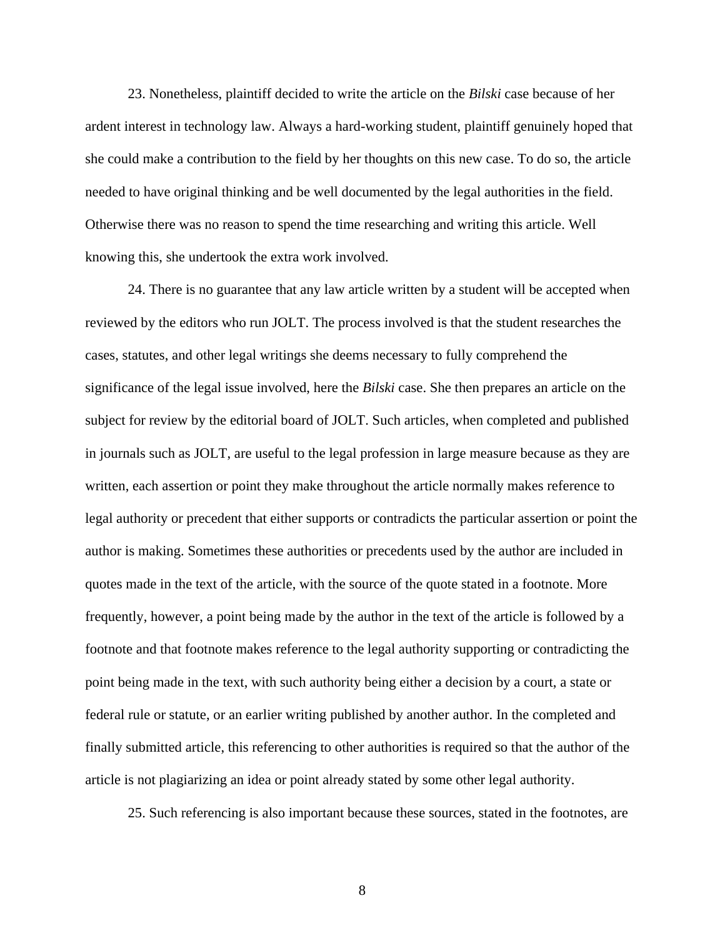23. Nonetheless, plaintiff decided to write the article on the *Bilski* case because of her ardent interest in technology law. Always a hard-working student, plaintiff genuinely hoped that she could make a contribution to the field by her thoughts on this new case. To do so, the article needed to have original thinking and be well documented by the legal authorities in the field. Otherwise there was no reason to spend the time researching and writing this article. Well knowing this, she undertook the extra work involved.

24. There is no guarantee that any law article written by a student will be accepted when reviewed by the editors who run JOLT. The process involved is that the student researches the cases, statutes, and other legal writings she deems necessary to fully comprehend the significance of the legal issue involved, here the *Bilski* case. She then prepares an article on the subject for review by the editorial board of JOLT. Such articles, when completed and published in journals such as JOLT, are useful to the legal profession in large measure because as they are written, each assertion or point they make throughout the article normally makes reference to legal authority or precedent that either supports or contradicts the particular assertion or point the author is making. Sometimes these authorities or precedents used by the author are included in quotes made in the text of the article, with the source of the quote stated in a footnote. More frequently, however, a point being made by the author in the text of the article is followed by a footnote and that footnote makes reference to the legal authority supporting or contradicting the point being made in the text, with such authority being either a decision by a court, a state or federal rule or statute, or an earlier writing published by another author. In the completed and finally submitted article, this referencing to other authorities is required so that the author of the article is not plagiarizing an idea or point already stated by some other legal authority.

25. Such referencing is also important because these sources, stated in the footnotes, are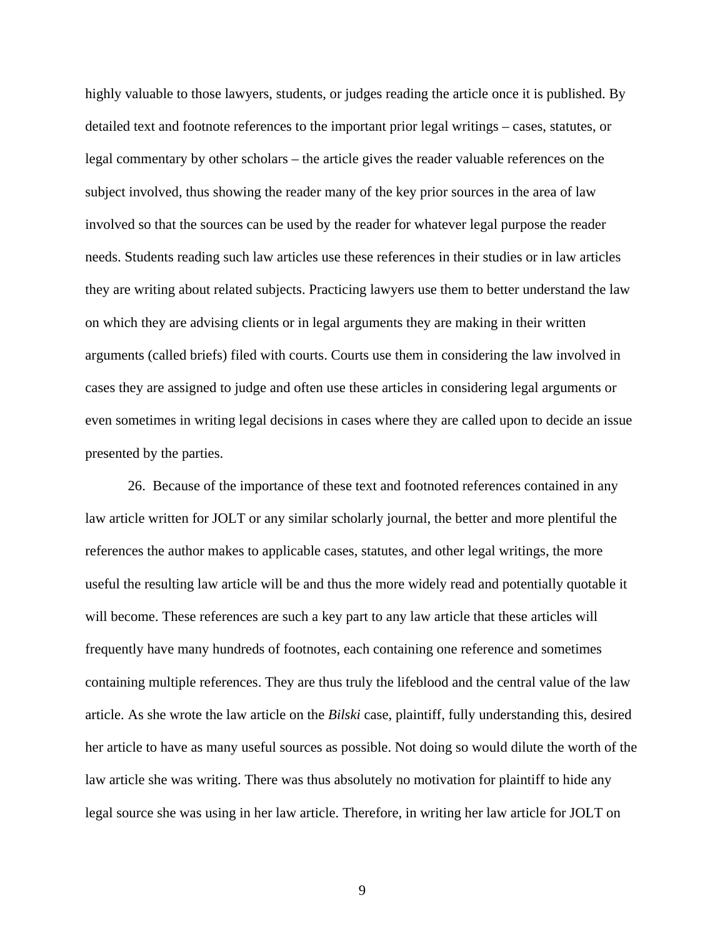highly valuable to those lawyers, students, or judges reading the article once it is published. By detailed text and footnote references to the important prior legal writings – cases, statutes, or legal commentary by other scholars – the article gives the reader valuable references on the subject involved, thus showing the reader many of the key prior sources in the area of law involved so that the sources can be used by the reader for whatever legal purpose the reader needs. Students reading such law articles use these references in their studies or in law articles they are writing about related subjects. Practicing lawyers use them to better understand the law on which they are advising clients or in legal arguments they are making in their written arguments (called briefs) filed with courts. Courts use them in considering the law involved in cases they are assigned to judge and often use these articles in considering legal arguments or even sometimes in writing legal decisions in cases where they are called upon to decide an issue presented by the parties.

26. Because of the importance of these text and footnoted references contained in any law article written for JOLT or any similar scholarly journal, the better and more plentiful the references the author makes to applicable cases, statutes, and other legal writings, the more useful the resulting law article will be and thus the more widely read and potentially quotable it will become. These references are such a key part to any law article that these articles will frequently have many hundreds of footnotes, each containing one reference and sometimes containing multiple references. They are thus truly the lifeblood and the central value of the law article. As she wrote the law article on the *Bilski* case, plaintiff, fully understanding this, desired her article to have as many useful sources as possible. Not doing so would dilute the worth of the law article she was writing. There was thus absolutely no motivation for plaintiff to hide any legal source she was using in her law article. Therefore, in writing her law article for JOLT on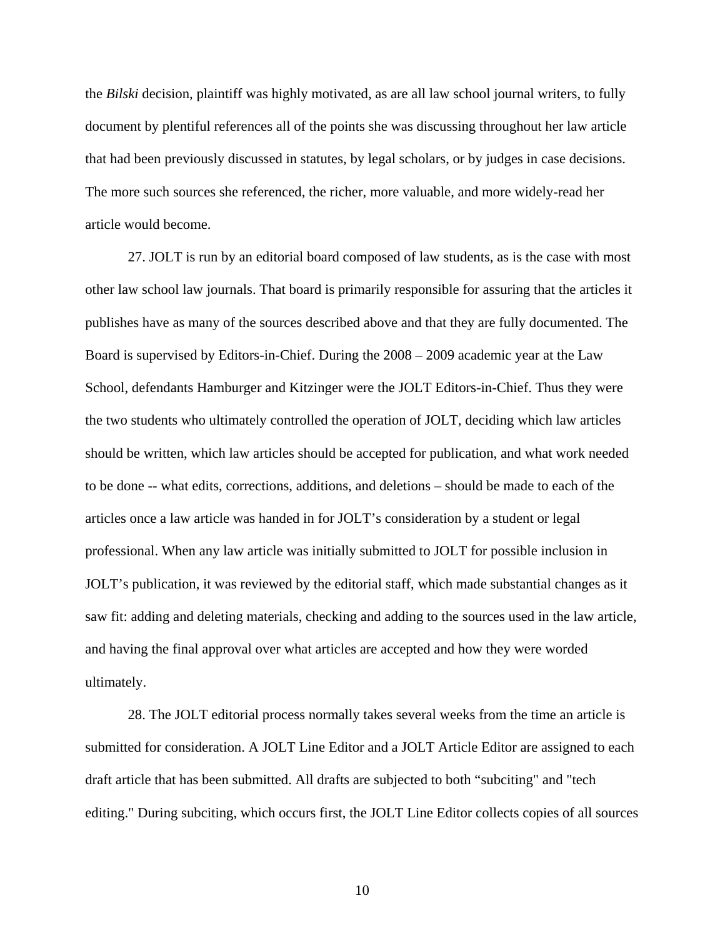the *Bilski* decision, plaintiff was highly motivated, as are all law school journal writers, to fully document by plentiful references all of the points she was discussing throughout her law article that had been previously discussed in statutes, by legal scholars, or by judges in case decisions. The more such sources she referenced, the richer, more valuable, and more widely-read her article would become.

27. JOLT is run by an editorial board composed of law students, as is the case with most other law school law journals. That board is primarily responsible for assuring that the articles it publishes have as many of the sources described above and that they are fully documented. The Board is supervised by Editors-in-Chief. During the 2008 – 2009 academic year at the Law School, defendants Hamburger and Kitzinger were the JOLT Editors-in-Chief. Thus they were the two students who ultimately controlled the operation of JOLT, deciding which law articles should be written, which law articles should be accepted for publication, and what work needed to be done -- what edits, corrections, additions, and deletions – should be made to each of the articles once a law article was handed in for JOLT's consideration by a student or legal professional. When any law article was initially submitted to JOLT for possible inclusion in JOLT's publication, it was reviewed by the editorial staff, which made substantial changes as it saw fit: adding and deleting materials, checking and adding to the sources used in the law article, and having the final approval over what articles are accepted and how they were worded ultimately.

28. The JOLT editorial process normally takes several weeks from the time an article is submitted for consideration. A JOLT Line Editor and a JOLT Article Editor are assigned to each draft article that has been submitted. All drafts are subjected to both "subciting" and "tech editing." During subciting, which occurs first, the JOLT Line Editor collects copies of all sources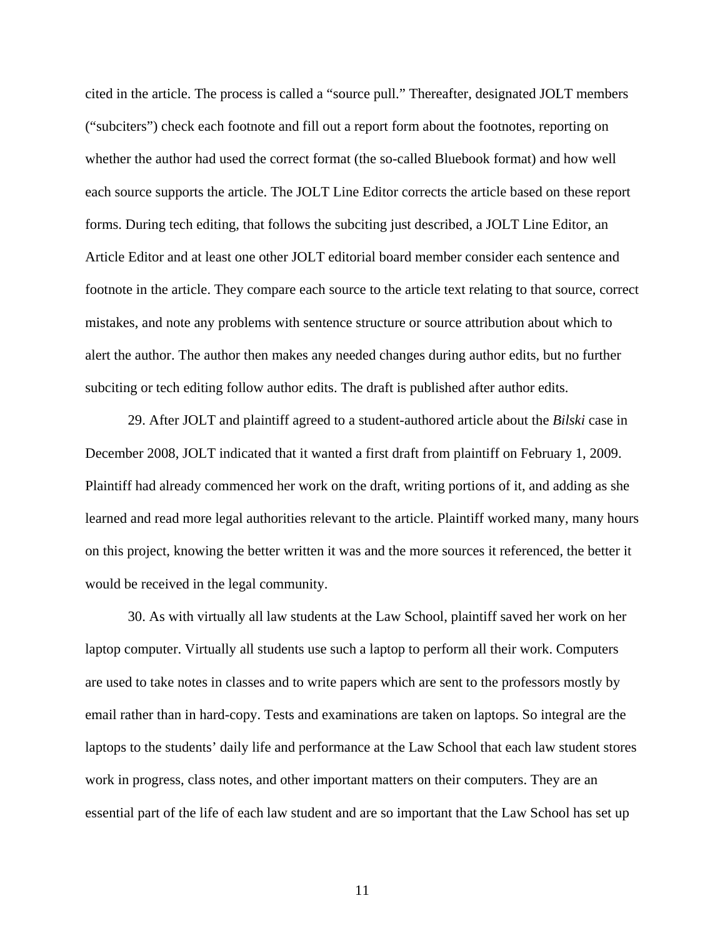cited in the article. The process is called a "source pull." Thereafter, designated JOLT members ("subciters") check each footnote and fill out a report form about the footnotes, reporting on whether the author had used the correct format (the so-called Bluebook format) and how well each source supports the article. The JOLT Line Editor corrects the article based on these report forms. During tech editing, that follows the subciting just described, a JOLT Line Editor, an Article Editor and at least one other JOLT editorial board member consider each sentence and footnote in the article. They compare each source to the article text relating to that source, correct mistakes, and note any problems with sentence structure or source attribution about which to alert the author. The author then makes any needed changes during author edits, but no further subciting or tech editing follow author edits. The draft is published after author edits.

29. After JOLT and plaintiff agreed to a student-authored article about the *Bilski* case in December 2008, JOLT indicated that it wanted a first draft from plaintiff on February 1, 2009. Plaintiff had already commenced her work on the draft, writing portions of it, and adding as she learned and read more legal authorities relevant to the article. Plaintiff worked many, many hours on this project, knowing the better written it was and the more sources it referenced, the better it would be received in the legal community.

30. As with virtually all law students at the Law School, plaintiff saved her work on her laptop computer. Virtually all students use such a laptop to perform all their work. Computers are used to take notes in classes and to write papers which are sent to the professors mostly by email rather than in hard-copy. Tests and examinations are taken on laptops. So integral are the laptops to the students' daily life and performance at the Law School that each law student stores work in progress, class notes, and other important matters on their computers. They are an essential part of the life of each law student and are so important that the Law School has set up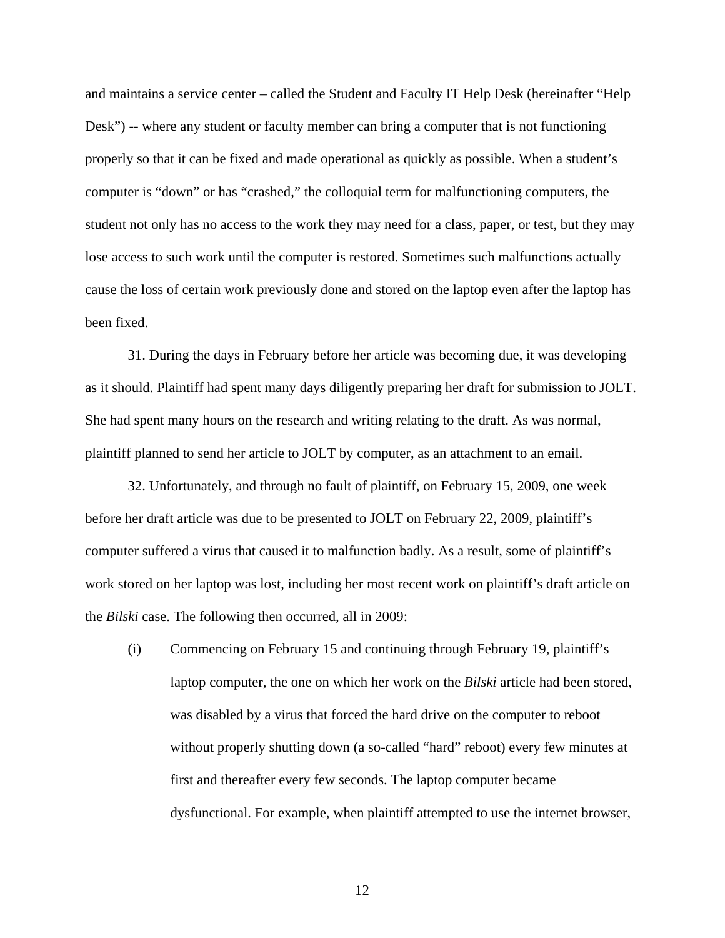and maintains a service center – called the Student and Faculty IT Help Desk (hereinafter "Help Desk") -- where any student or faculty member can bring a computer that is not functioning properly so that it can be fixed and made operational as quickly as possible. When a student's computer is "down" or has "crashed," the colloquial term for malfunctioning computers, the student not only has no access to the work they may need for a class, paper, or test, but they may lose access to such work until the computer is restored. Sometimes such malfunctions actually cause the loss of certain work previously done and stored on the laptop even after the laptop has been fixed.

31. During the days in February before her article was becoming due, it was developing as it should. Plaintiff had spent many days diligently preparing her draft for submission to JOLT. She had spent many hours on the research and writing relating to the draft. As was normal, plaintiff planned to send her article to JOLT by computer, as an attachment to an email.

32. Unfortunately, and through no fault of plaintiff, on February 15, 2009, one week before her draft article was due to be presented to JOLT on February 22, 2009, plaintiff's computer suffered a virus that caused it to malfunction badly. As a result, some of plaintiff's work stored on her laptop was lost, including her most recent work on plaintiff's draft article on the *Bilski* case. The following then occurred, all in 2009:

(i) Commencing on February 15 and continuing through February 19, plaintiff's laptop computer, the one on which her work on the *Bilski* article had been stored, was disabled by a virus that forced the hard drive on the computer to reboot without properly shutting down (a so-called "hard" reboot) every few minutes at first and thereafter every few seconds. The laptop computer became dysfunctional. For example, when plaintiff attempted to use the internet browser,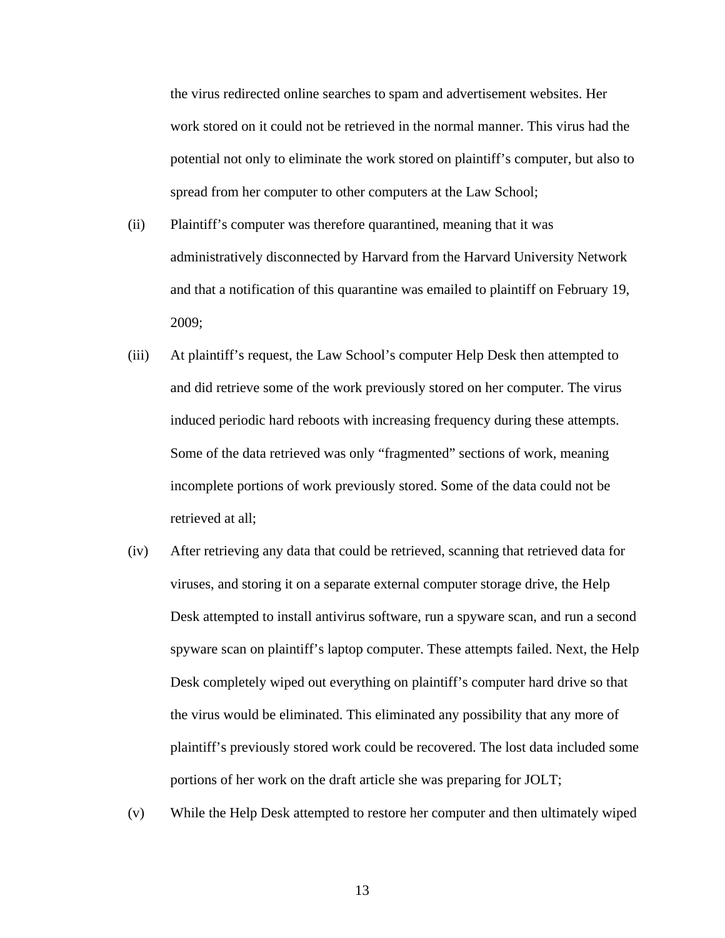the virus redirected online searches to spam and advertisement websites. Her work stored on it could not be retrieved in the normal manner. This virus had the potential not only to eliminate the work stored on plaintiff's computer, but also to spread from her computer to other computers at the Law School;

- (ii) Plaintiff's computer was therefore quarantined, meaning that it was administratively disconnected by Harvard from the Harvard University Network and that a notification of this quarantine was emailed to plaintiff on February 19, 2009;
- (iii) At plaintiff's request, the Law School's computer Help Desk then attempted to and did retrieve some of the work previously stored on her computer. The virus induced periodic hard reboots with increasing frequency during these attempts. Some of the data retrieved was only "fragmented" sections of work, meaning incomplete portions of work previously stored. Some of the data could not be retrieved at all;
- (iv) After retrieving any data that could be retrieved, scanning that retrieved data for viruses, and storing it on a separate external computer storage drive, the Help Desk attempted to install antivirus software, run a spyware scan, and run a second spyware scan on plaintiff's laptop computer. These attempts failed. Next, the Help Desk completely wiped out everything on plaintiff's computer hard drive so that the virus would be eliminated. This eliminated any possibility that any more of plaintiff's previously stored work could be recovered. The lost data included some portions of her work on the draft article she was preparing for JOLT;
- (v) While the Help Desk attempted to restore her computer and then ultimately wiped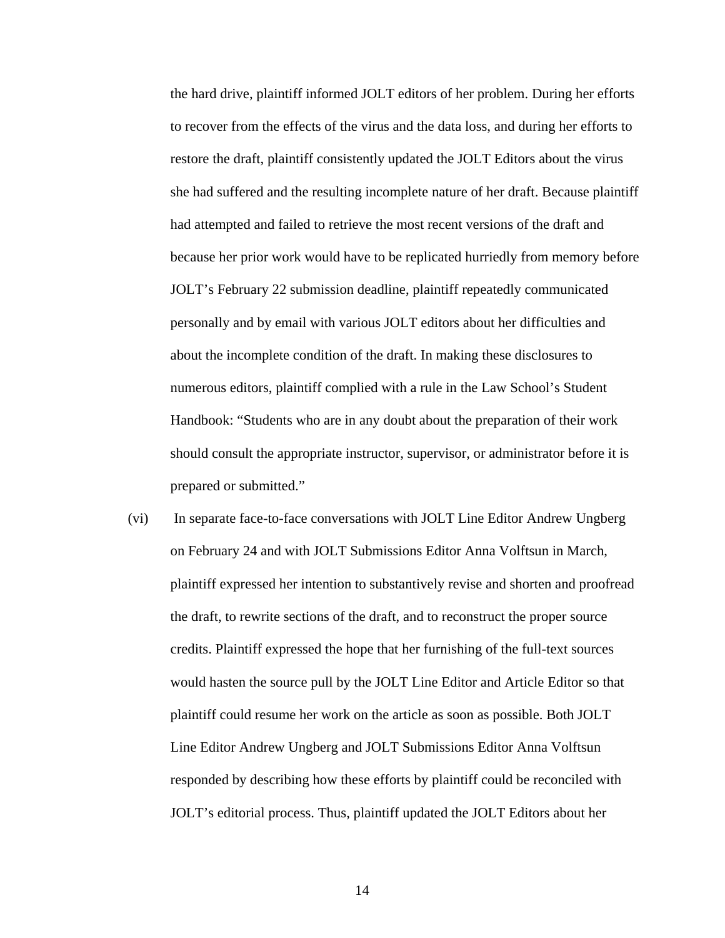the hard drive, plaintiff informed JOLT editors of her problem. During her efforts to recover from the effects of the virus and the data loss, and during her efforts to restore the draft, plaintiff consistently updated the JOLT Editors about the virus she had suffered and the resulting incomplete nature of her draft. Because plaintiff had attempted and failed to retrieve the most recent versions of the draft and because her prior work would have to be replicated hurriedly from memory before JOLT's February 22 submission deadline, plaintiff repeatedly communicated personally and by email with various JOLT editors about her difficulties and about the incomplete condition of the draft. In making these disclosures to numerous editors, plaintiff complied with a rule in the Law School's Student Handbook: "Students who are in any doubt about the preparation of their work should consult the appropriate instructor, supervisor, or administrator before it is prepared or submitted."

(vi) In separate face-to-face conversations with JOLT Line Editor Andrew Ungberg on February 24 and with JOLT Submissions Editor Anna Volftsun in March, plaintiff expressed her intention to substantively revise and shorten and proofread the draft, to rewrite sections of the draft, and to reconstruct the proper source credits. Plaintiff expressed the hope that her furnishing of the full-text sources would hasten the source pull by the JOLT Line Editor and Article Editor so that plaintiff could resume her work on the article as soon as possible. Both JOLT Line Editor Andrew Ungberg and JOLT Submissions Editor Anna Volftsun responded by describing how these efforts by plaintiff could be reconciled with JOLT's editorial process. Thus, plaintiff updated the JOLT Editors about her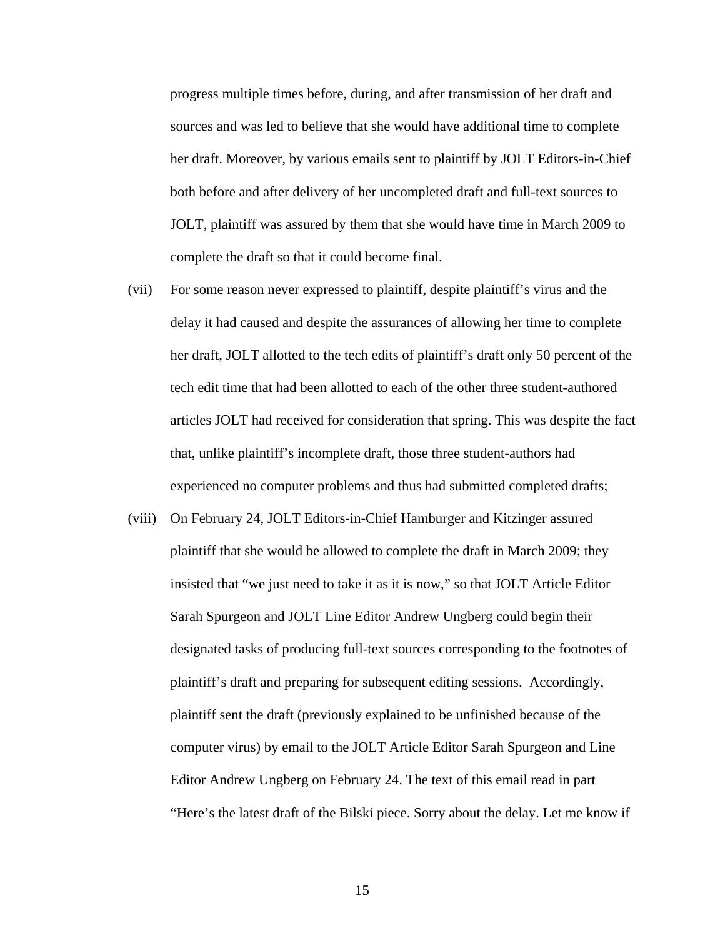progress multiple times before, during, and after transmission of her draft and sources and was led to believe that she would have additional time to complete her draft. Moreover, by various emails sent to plaintiff by JOLT Editors-in-Chief both before and after delivery of her uncompleted draft and full-text sources to JOLT, plaintiff was assured by them that she would have time in March 2009 to complete the draft so that it could become final.

- (vii) For some reason never expressed to plaintiff, despite plaintiff's virus and the delay it had caused and despite the assurances of allowing her time to complete her draft, JOLT allotted to the tech edits of plaintiff's draft only 50 percent of the tech edit time that had been allotted to each of the other three student-authored articles JOLT had received for consideration that spring. This was despite the fact that, unlike plaintiff's incomplete draft, those three student-authors had experienced no computer problems and thus had submitted completed drafts;
- (viii) On February 24, JOLT Editors-in-Chief Hamburger and Kitzinger assured plaintiff that she would be allowed to complete the draft in March 2009; they insisted that "we just need to take it as it is now," so that JOLT Article Editor Sarah Spurgeon and JOLT Line Editor Andrew Ungberg could begin their designated tasks of producing full-text sources corresponding to the footnotes of plaintiff's draft and preparing for subsequent editing sessions. Accordingly, plaintiff sent the draft (previously explained to be unfinished because of the computer virus) by email to the JOLT Article Editor Sarah Spurgeon and Line Editor Andrew Ungberg on February 24. The text of this email read in part "Here's the latest draft of the Bilski piece. Sorry about the delay. Let me know if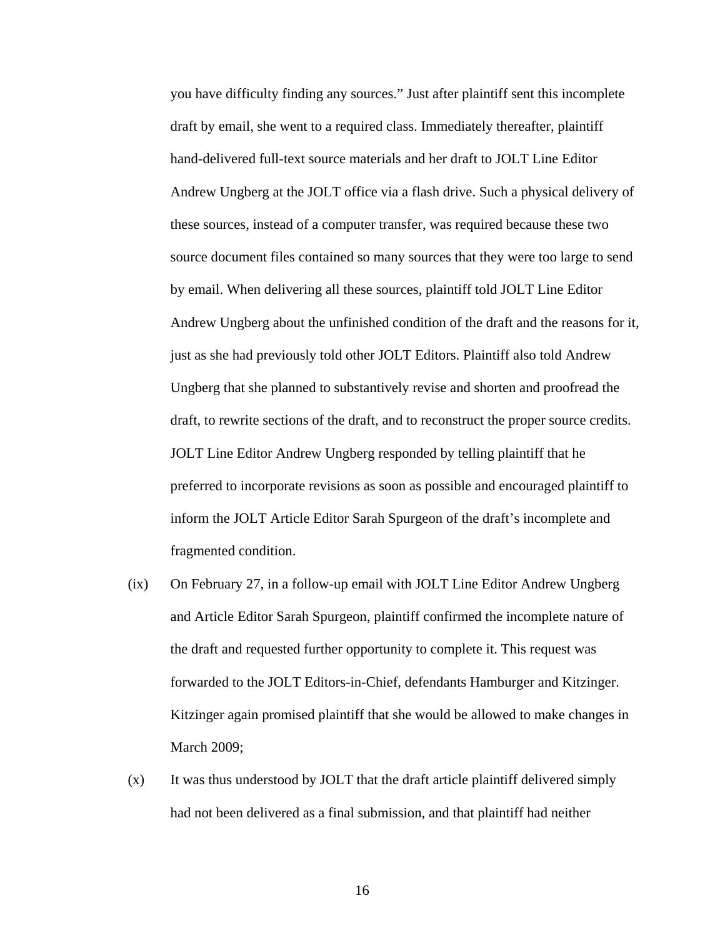you have difficulty finding any sources." Just after plaintiff sent this incomplete draft by email, she went to a required class. Immediately thereafter, plaintiff hand-delivered full-text source materials and her draft to JOLT Line Editor Andrew Ungberg at the JOLT office via a flash drive. Such a physical delivery of these sources, instead of a computer transfer, was required because these two source document files contained so many sources that they were too large to send by email. When delivering all these sources, plaintiff told JOLT Line Editor Andrew Ungberg about the unfinished condition of the draft and the reasons for it, just as she had previously told other JOLT Editors. Plaintiff also told Andrew Ungberg that she planned to substantively revise and shorten and proofread the draft, to rewrite sections of the draft, and to reconstruct the proper source credits. JOLT Line Editor Andrew Ungberg responded by telling plaintiff that he preferred to incorporate revisions as soon as possible and encouraged plaintiff to inform the JOLT Article Editor Sarah Spurgeon of the draft's incomplete and fragmented condition.

- (ix) On February 27, in a follow-up email with JOLT Line Editor Andrew Ungberg and Article Editor Sarah Spurgeon, plaintiff confirmed the incomplete nature of the draft and requested further opportunity to complete it. This request was forwarded to the JOLT Editors-in-Chief, defendants Hamburger and Kitzinger. Kitzinger again promised plaintiff that she would be allowed to make changes in March 2009;
- (x) It was thus understood by JOLT that the draft article plaintiff delivered simply had not been delivered as a final submission, and that plaintiff had neither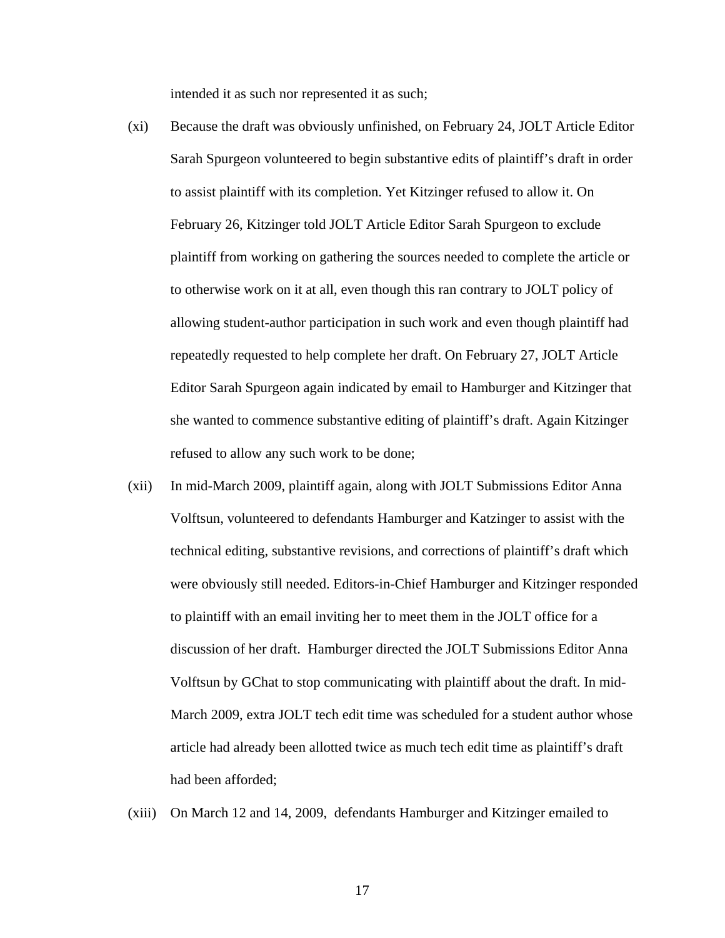intended it as such nor represented it as such;

- (xi) Because the draft was obviously unfinished, on February 24, JOLT Article Editor Sarah Spurgeon volunteered to begin substantive edits of plaintiff's draft in order to assist plaintiff with its completion. Yet Kitzinger refused to allow it. On February 26, Kitzinger told JOLT Article Editor Sarah Spurgeon to exclude plaintiff from working on gathering the sources needed to complete the article or to otherwise work on it at all, even though this ran contrary to JOLT policy of allowing student-author participation in such work and even though plaintiff had repeatedly requested to help complete her draft. On February 27, JOLT Article Editor Sarah Spurgeon again indicated by email to Hamburger and Kitzinger that she wanted to commence substantive editing of plaintiff's draft. Again Kitzinger refused to allow any such work to be done;
- (xii) In mid-March 2009, plaintiff again, along with JOLT Submissions Editor Anna Volftsun, volunteered to defendants Hamburger and Katzinger to assist with the technical editing, substantive revisions, and corrections of plaintiff's draft which were obviously still needed. Editors-in-Chief Hamburger and Kitzinger responded to plaintiff with an email inviting her to meet them in the JOLT office for a discussion of her draft. Hamburger directed the JOLT Submissions Editor Anna Volftsun by GChat to stop communicating with plaintiff about the draft. In mid-March 2009, extra JOLT tech edit time was scheduled for a student author whose article had already been allotted twice as much tech edit time as plaintiff's draft had been afforded;
- (xiii) On March 12 and 14, 2009, defendants Hamburger and Kitzinger emailed to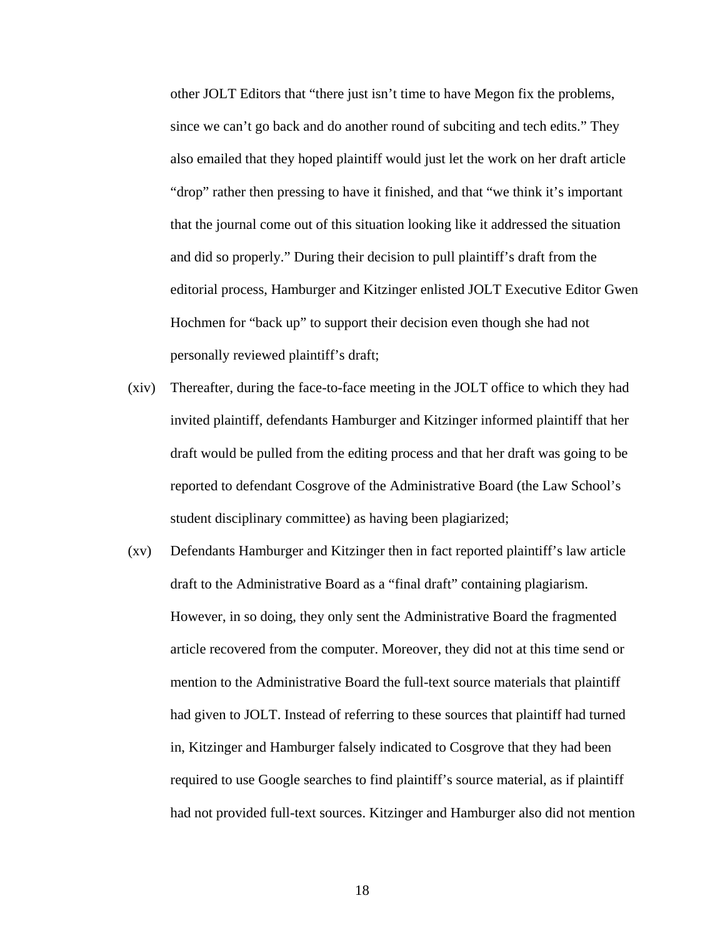other JOLT Editors that "there just isn't time to have Megon fix the problems, since we can't go back and do another round of subciting and tech edits." They also emailed that they hoped plaintiff would just let the work on her draft article "drop" rather then pressing to have it finished, and that "we think it's important that the journal come out of this situation looking like it addressed the situation and did so properly." During their decision to pull plaintiff's draft from the editorial process, Hamburger and Kitzinger enlisted JOLT Executive Editor Gwen Hochmen for "back up" to support their decision even though she had not personally reviewed plaintiff's draft;

- (xiv) Thereafter, during the face-to-face meeting in the JOLT office to which they had invited plaintiff, defendants Hamburger and Kitzinger informed plaintiff that her draft would be pulled from the editing process and that her draft was going to be reported to defendant Cosgrove of the Administrative Board (the Law School's student disciplinary committee) as having been plagiarized;
- (xv) Defendants Hamburger and Kitzinger then in fact reported plaintiff's law article draft to the Administrative Board as a "final draft" containing plagiarism. However, in so doing, they only sent the Administrative Board the fragmented article recovered from the computer. Moreover, they did not at this time send or mention to the Administrative Board the full-text source materials that plaintiff had given to JOLT. Instead of referring to these sources that plaintiff had turned in, Kitzinger and Hamburger falsely indicated to Cosgrove that they had been required to use Google searches to find plaintiff's source material, as if plaintiff had not provided full-text sources. Kitzinger and Hamburger also did not mention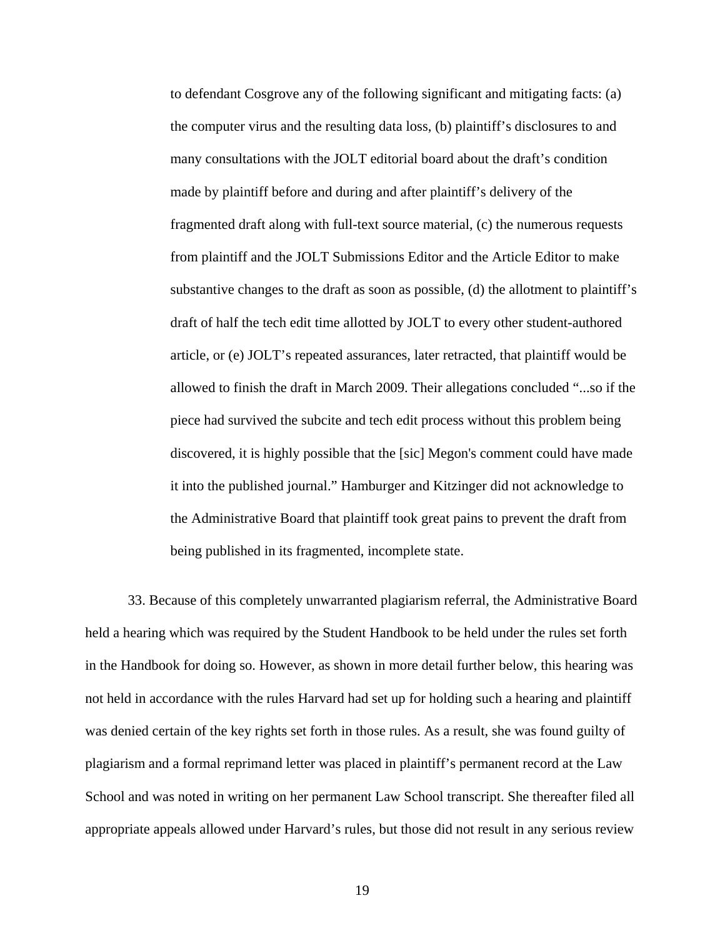to defendant Cosgrove any of the following significant and mitigating facts: (a) the computer virus and the resulting data loss, (b) plaintiff's disclosures to and many consultations with the JOLT editorial board about the draft's condition made by plaintiff before and during and after plaintiff's delivery of the fragmented draft along with full-text source material, (c) the numerous requests from plaintiff and the JOLT Submissions Editor and the Article Editor to make substantive changes to the draft as soon as possible, (d) the allotment to plaintiff's draft of half the tech edit time allotted by JOLT to every other student-authored article, or (e) JOLT's repeated assurances, later retracted, that plaintiff would be allowed to finish the draft in March 2009. Their allegations concluded "...so if the piece had survived the subcite and tech edit process without this problem being discovered, it is highly possible that the [sic] Megon's comment could have made it into the published journal." Hamburger and Kitzinger did not acknowledge to the Administrative Board that plaintiff took great pains to prevent the draft from being published in its fragmented, incomplete state.

33. Because of this completely unwarranted plagiarism referral, the Administrative Board held a hearing which was required by the Student Handbook to be held under the rules set forth in the Handbook for doing so. However, as shown in more detail further below, this hearing was not held in accordance with the rules Harvard had set up for holding such a hearing and plaintiff was denied certain of the key rights set forth in those rules. As a result, she was found guilty of plagiarism and a formal reprimand letter was placed in plaintiff's permanent record at the Law School and was noted in writing on her permanent Law School transcript. She thereafter filed all appropriate appeals allowed under Harvard's rules, but those did not result in any serious review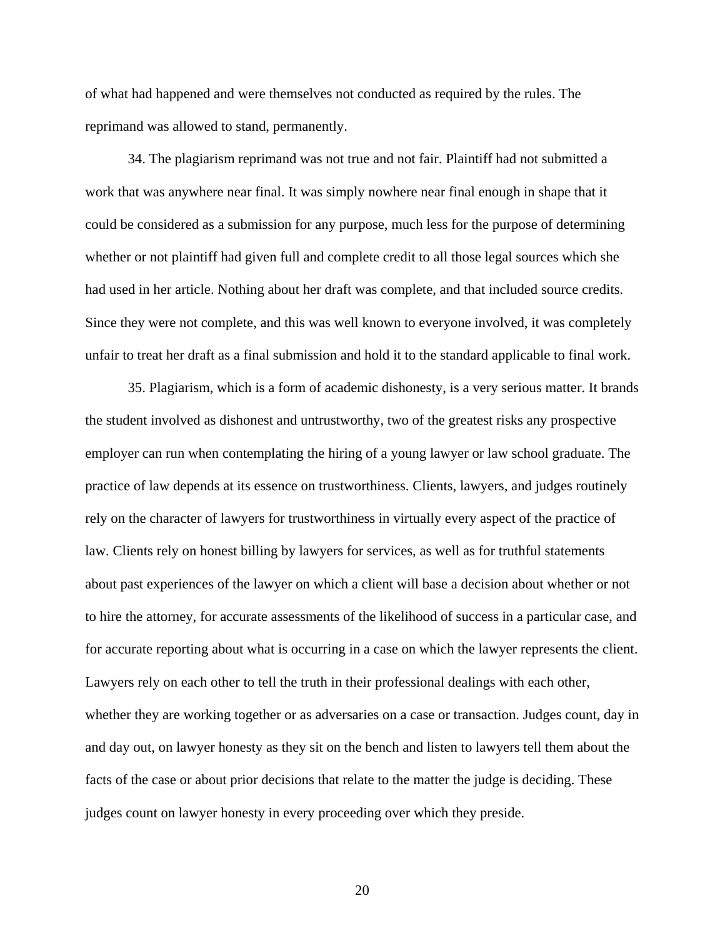of what had happened and were themselves not conducted as required by the rules. The reprimand was allowed to stand, permanently.

34. The plagiarism reprimand was not true and not fair. Plaintiff had not submitted a work that was anywhere near final. It was simply nowhere near final enough in shape that it could be considered as a submission for any purpose, much less for the purpose of determining whether or not plaintiff had given full and complete credit to all those legal sources which she had used in her article. Nothing about her draft was complete, and that included source credits. Since they were not complete, and this was well known to everyone involved, it was completely unfair to treat her draft as a final submission and hold it to the standard applicable to final work.

35. Plagiarism, which is a form of academic dishonesty, is a very serious matter. It brands the student involved as dishonest and untrustworthy, two of the greatest risks any prospective employer can run when contemplating the hiring of a young lawyer or law school graduate. The practice of law depends at its essence on trustworthiness. Clients, lawyers, and judges routinely rely on the character of lawyers for trustworthiness in virtually every aspect of the practice of law. Clients rely on honest billing by lawyers for services, as well as for truthful statements about past experiences of the lawyer on which a client will base a decision about whether or not to hire the attorney, for accurate assessments of the likelihood of success in a particular case, and for accurate reporting about what is occurring in a case on which the lawyer represents the client. Lawyers rely on each other to tell the truth in their professional dealings with each other, whether they are working together or as adversaries on a case or transaction. Judges count, day in and day out, on lawyer honesty as they sit on the bench and listen to lawyers tell them about the facts of the case or about prior decisions that relate to the matter the judge is deciding. These judges count on lawyer honesty in every proceeding over which they preside.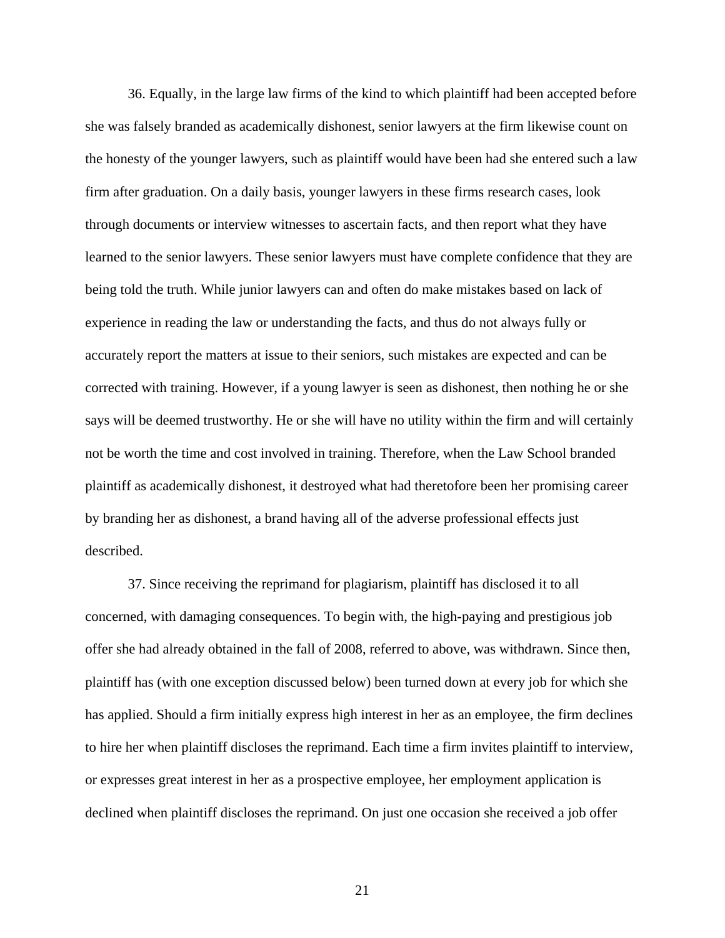36. Equally, in the large law firms of the kind to which plaintiff had been accepted before she was falsely branded as academically dishonest, senior lawyers at the firm likewise count on the honesty of the younger lawyers, such as plaintiff would have been had she entered such a law firm after graduation. On a daily basis, younger lawyers in these firms research cases, look through documents or interview witnesses to ascertain facts, and then report what they have learned to the senior lawyers. These senior lawyers must have complete confidence that they are being told the truth. While junior lawyers can and often do make mistakes based on lack of experience in reading the law or understanding the facts, and thus do not always fully or accurately report the matters at issue to their seniors, such mistakes are expected and can be corrected with training. However, if a young lawyer is seen as dishonest, then nothing he or she says will be deemed trustworthy. He or she will have no utility within the firm and will certainly not be worth the time and cost involved in training. Therefore, when the Law School branded plaintiff as academically dishonest, it destroyed what had theretofore been her promising career by branding her as dishonest, a brand having all of the adverse professional effects just described.

37. Since receiving the reprimand for plagiarism, plaintiff has disclosed it to all concerned, with damaging consequences. To begin with, the high-paying and prestigious job offer she had already obtained in the fall of 2008, referred to above, was withdrawn. Since then, plaintiff has (with one exception discussed below) been turned down at every job for which she has applied. Should a firm initially express high interest in her as an employee, the firm declines to hire her when plaintiff discloses the reprimand. Each time a firm invites plaintiff to interview, or expresses great interest in her as a prospective employee, her employment application is declined when plaintiff discloses the reprimand. On just one occasion she received a job offer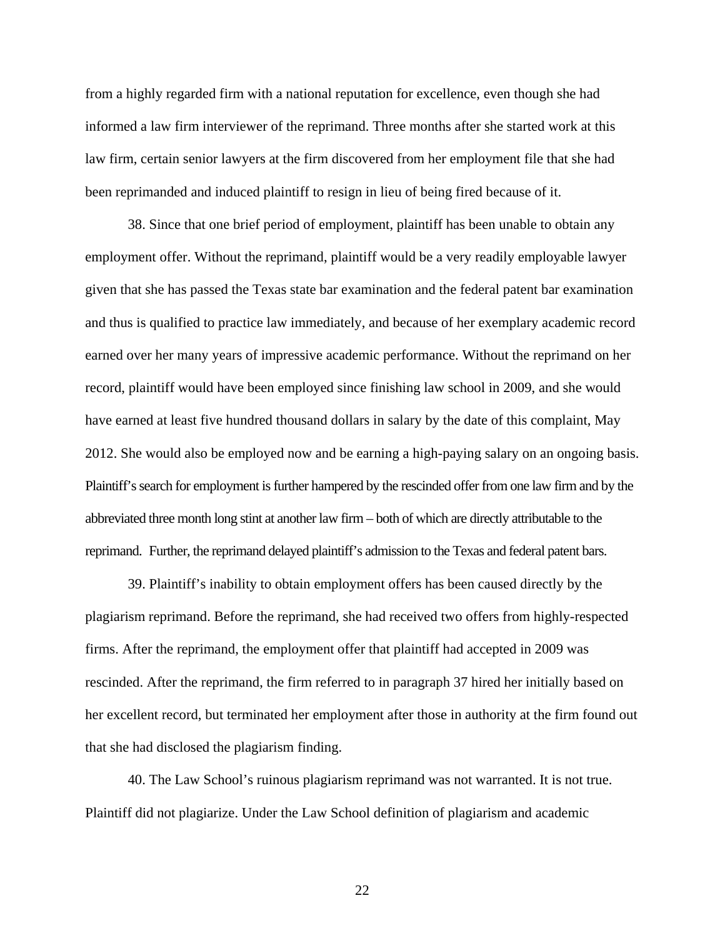from a highly regarded firm with a national reputation for excellence, even though she had informed a law firm interviewer of the reprimand. Three months after she started work at this law firm, certain senior lawyers at the firm discovered from her employment file that she had been reprimanded and induced plaintiff to resign in lieu of being fired because of it.

38. Since that one brief period of employment, plaintiff has been unable to obtain any employment offer. Without the reprimand, plaintiff would be a very readily employable lawyer given that she has passed the Texas state bar examination and the federal patent bar examination and thus is qualified to practice law immediately, and because of her exemplary academic record earned over her many years of impressive academic performance. Without the reprimand on her record, plaintiff would have been employed since finishing law school in 2009, and she would have earned at least five hundred thousand dollars in salary by the date of this complaint, May 2012. She would also be employed now and be earning a high-paying salary on an ongoing basis. Plaintiff's search for employment is further hampered by the rescinded offer from one law firm and by the abbreviated three month long stint at another law firm – both of which are directly attributable to the reprimand. Further, the reprimand delayed plaintiff's admission to the Texas and federal patent bars.

39. Plaintiff's inability to obtain employment offers has been caused directly by the plagiarism reprimand. Before the reprimand, she had received two offers from highly-respected firms. After the reprimand, the employment offer that plaintiff had accepted in 2009 was rescinded. After the reprimand, the firm referred to in paragraph 37 hired her initially based on her excellent record, but terminated her employment after those in authority at the firm found out that she had disclosed the plagiarism finding.

40. The Law School's ruinous plagiarism reprimand was not warranted. It is not true. Plaintiff did not plagiarize. Under the Law School definition of plagiarism and academic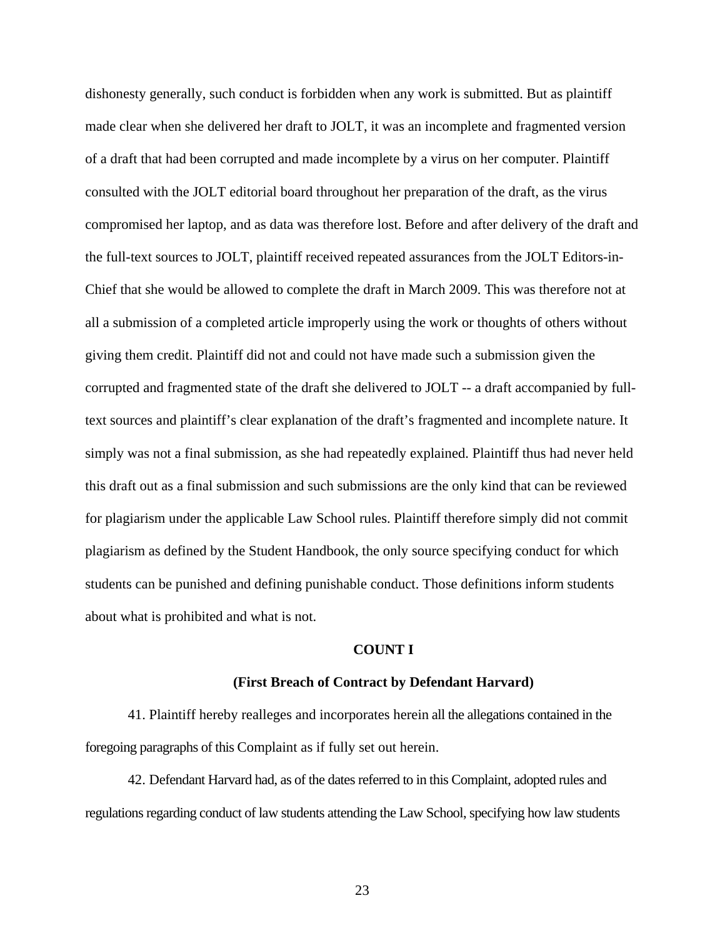dishonesty generally, such conduct is forbidden when any work is submitted. But as plaintiff made clear when she delivered her draft to JOLT, it was an incomplete and fragmented version of a draft that had been corrupted and made incomplete by a virus on her computer. Plaintiff consulted with the JOLT editorial board throughout her preparation of the draft, as the virus compromised her laptop, and as data was therefore lost. Before and after delivery of the draft and the full-text sources to JOLT, plaintiff received repeated assurances from the JOLT Editors-in-Chief that she would be allowed to complete the draft in March 2009. This was therefore not at all a submission of a completed article improperly using the work or thoughts of others without giving them credit. Plaintiff did not and could not have made such a submission given the corrupted and fragmented state of the draft she delivered to JOLT -- a draft accompanied by fulltext sources and plaintiff's clear explanation of the draft's fragmented and incomplete nature. It simply was not a final submission, as she had repeatedly explained. Plaintiff thus had never held this draft out as a final submission and such submissions are the only kind that can be reviewed for plagiarism under the applicable Law School rules. Plaintiff therefore simply did not commit plagiarism as defined by the Student Handbook, the only source specifying conduct for which students can be punished and defining punishable conduct. Those definitions inform students about what is prohibited and what is not.

#### **COUNT I**

#### **(First Breach of Contract by Defendant Harvard)**

41. Plaintiff hereby realleges and incorporates herein all the allegations contained in the foregoing paragraphs of this Complaint as if fully set out herein.

42. Defendant Harvard had, as of the dates referred to in this Complaint, adopted rules and regulations regarding conduct of law students attending the Law School, specifying how law students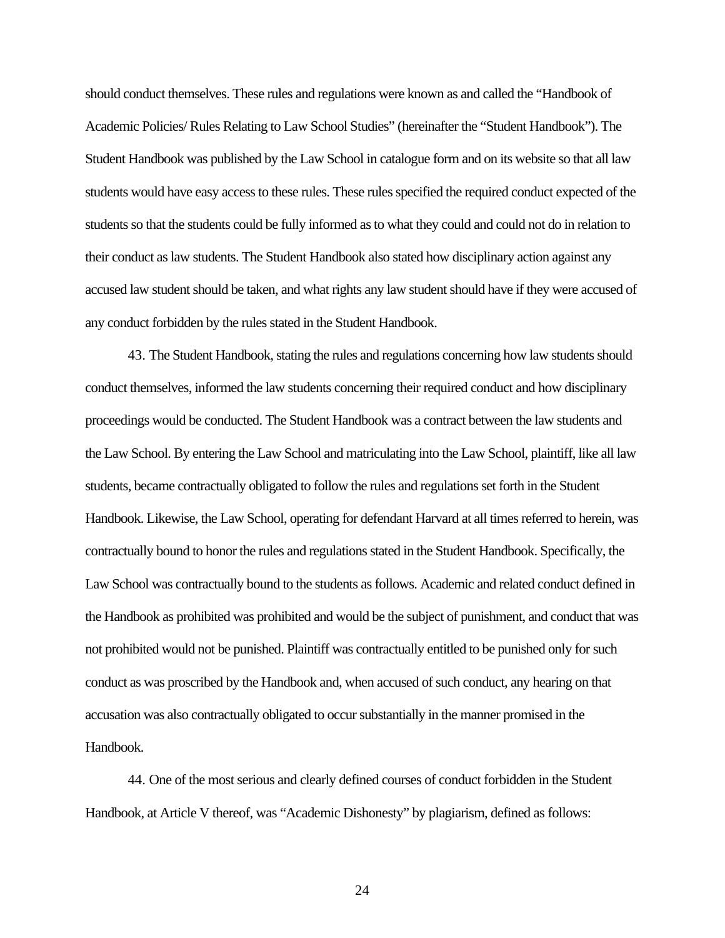should conduct themselves. These rules and regulations were known as and called the "Handbook of Academic Policies/ Rules Relating to Law School Studies" (hereinafter the "Student Handbook"). The Student Handbook was published by the Law School in catalogue form and on its website so that all law students would have easy access to these rules. These rules specified the required conduct expected of the students so that the students could be fully informed as to what they could and could not do in relation to their conduct as law students. The Student Handbook also stated how disciplinary action against any accused law student should be taken, and what rights any law student should have if they were accused of any conduct forbidden by the rules stated in the Student Handbook.

43. The Student Handbook, stating the rules and regulations concerning how law students should conduct themselves, informed the law students concerning their required conduct and how disciplinary proceedings would be conducted. The Student Handbook was a contract between the law students and the Law School. By entering the Law School and matriculating into the Law School, plaintiff, like all law students, became contractually obligated to follow the rules and regulations set forth in the Student Handbook. Likewise, the Law School, operating for defendant Harvard at all times referred to herein, was contractually bound to honor the rules and regulations stated in the Student Handbook. Specifically, the Law School was contractually bound to the students as follows. Academic and related conduct defined in the Handbook as prohibited was prohibited and would be the subject of punishment, and conduct that was not prohibited would not be punished. Plaintiff was contractually entitled to be punished only for such conduct as was proscribed by the Handbook and, when accused of such conduct, any hearing on that accusation was also contractually obligated to occur substantially in the manner promised in the Handbook.

44. One of the most serious and clearly defined courses of conduct forbidden in the Student Handbook, at Article V thereof, was "Academic Dishonesty" by plagiarism, defined as follows: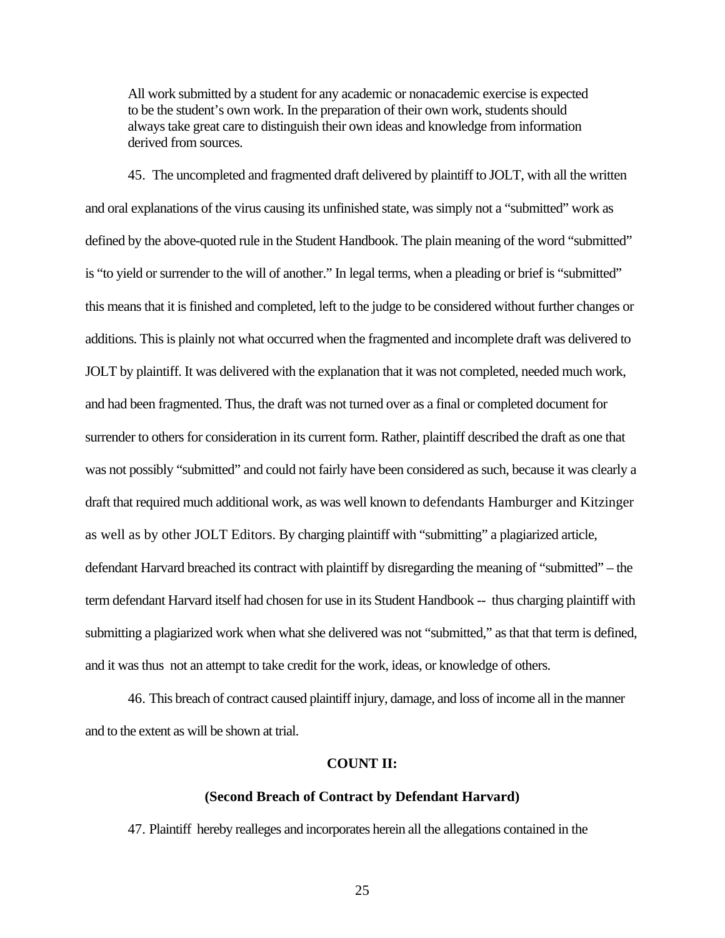All work submitted by a student for any academic or nonacademic exercise is expected to be the student's own work. In the preparation of their own work, students should always take great care to distinguish their own ideas and knowledge from information derived from sources.

45. The uncompleted and fragmented draft delivered by plaintiff to JOLT, with all the written and oral explanations of the virus causing its unfinished state, was simply not a "submitted" work as defined by the above-quoted rule in the Student Handbook. The plain meaning of the word "submitted" is "to yield or surrender to the will of another." In legal terms, when a pleading or brief is "submitted" this means that it is finished and completed, left to the judge to be considered without further changes or additions. This is plainly not what occurred when the fragmented and incomplete draft was delivered to JOLT by plaintiff. It was delivered with the explanation that it was not completed, needed much work, and had been fragmented. Thus, the draft was not turned over as a final or completed document for surrender to others for consideration in its current form. Rather, plaintiff described the draft as one that was not possibly "submitted" and could not fairly have been considered as such, because it was clearly a draft that required much additional work, as was well known to defendants Hamburger and Kitzinger as well as by other JOLT Editors. By charging plaintiff with "submitting" a plagiarized article, defendant Harvard breached its contract with plaintiff by disregarding the meaning of "submitted" – the term defendant Harvard itself had chosen for use in its Student Handbook -- thus charging plaintiff with submitting a plagiarized work when what she delivered was not "submitted," as that that term is defined, and it was thus not an attempt to take credit for the work, ideas, or knowledge of others.

46. This breach of contract caused plaintiff injury, damage, and loss of income all in the manner and to the extent as will be shown at trial.

### **COUNT II:**

### **(Second Breach of Contract by Defendant Harvard)**

47. Plaintiff hereby realleges and incorporates herein all the allegations contained in the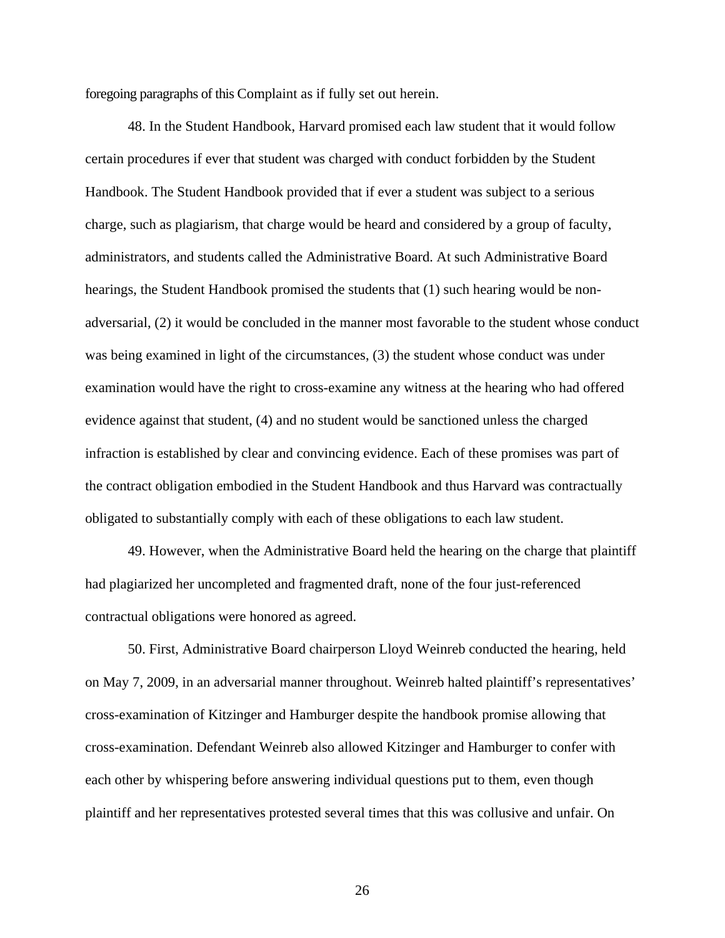foregoing paragraphs of this Complaint as if fully set out herein.

48. In the Student Handbook, Harvard promised each law student that it would follow certain procedures if ever that student was charged with conduct forbidden by the Student Handbook. The Student Handbook provided that if ever a student was subject to a serious charge, such as plagiarism, that charge would be heard and considered by a group of faculty, administrators, and students called the Administrative Board. At such Administrative Board hearings, the Student Handbook promised the students that (1) such hearing would be nonadversarial, (2) it would be concluded in the manner most favorable to the student whose conduct was being examined in light of the circumstances, (3) the student whose conduct was under examination would have the right to cross-examine any witness at the hearing who had offered evidence against that student, (4) and no student would be sanctioned unless the charged infraction is established by clear and convincing evidence. Each of these promises was part of the contract obligation embodied in the Student Handbook and thus Harvard was contractually obligated to substantially comply with each of these obligations to each law student.

49. However, when the Administrative Board held the hearing on the charge that plaintiff had plagiarized her uncompleted and fragmented draft, none of the four just-referenced contractual obligations were honored as agreed.

50. First, Administrative Board chairperson Lloyd Weinreb conducted the hearing, held on May 7, 2009, in an adversarial manner throughout. Weinreb halted plaintiff's representatives' cross-examination of Kitzinger and Hamburger despite the handbook promise allowing that cross-examination. Defendant Weinreb also allowed Kitzinger and Hamburger to confer with each other by whispering before answering individual questions put to them, even though plaintiff and her representatives protested several times that this was collusive and unfair. On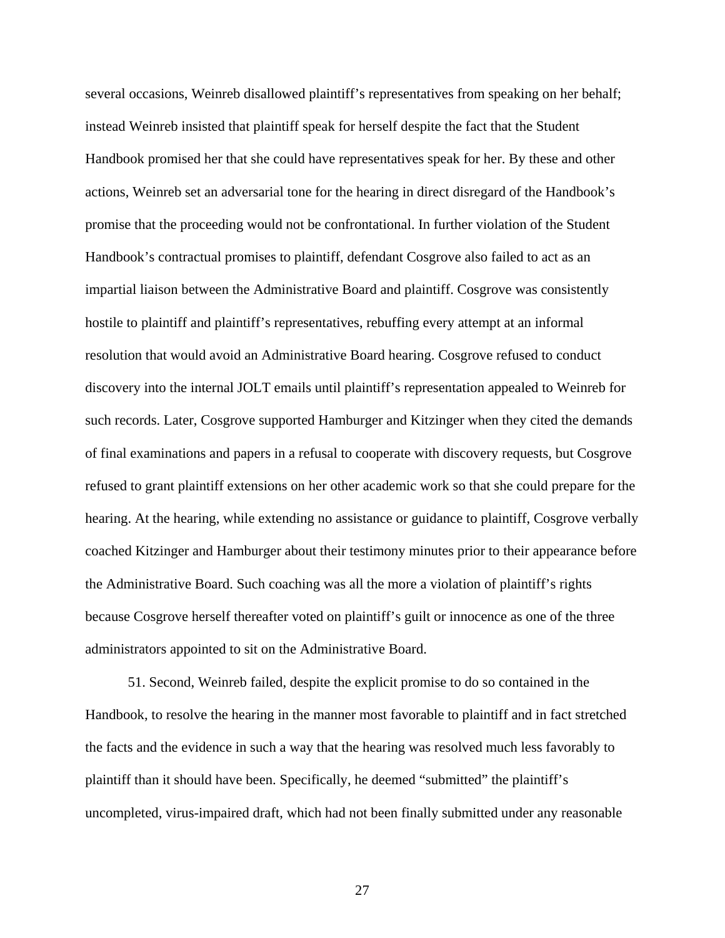several occasions, Weinreb disallowed plaintiff's representatives from speaking on her behalf; instead Weinreb insisted that plaintiff speak for herself despite the fact that the Student Handbook promised her that she could have representatives speak for her. By these and other actions, Weinreb set an adversarial tone for the hearing in direct disregard of the Handbook's promise that the proceeding would not be confrontational. In further violation of the Student Handbook's contractual promises to plaintiff, defendant Cosgrove also failed to act as an impartial liaison between the Administrative Board and plaintiff. Cosgrove was consistently hostile to plaintiff and plaintiff's representatives, rebuffing every attempt at an informal resolution that would avoid an Administrative Board hearing. Cosgrove refused to conduct discovery into the internal JOLT emails until plaintiff's representation appealed to Weinreb for such records. Later, Cosgrove supported Hamburger and Kitzinger when they cited the demands of final examinations and papers in a refusal to cooperate with discovery requests, but Cosgrove refused to grant plaintiff extensions on her other academic work so that she could prepare for the hearing. At the hearing, while extending no assistance or guidance to plaintiff, Cosgrove verbally coached Kitzinger and Hamburger about their testimony minutes prior to their appearance before the Administrative Board. Such coaching was all the more a violation of plaintiff's rights because Cosgrove herself thereafter voted on plaintiff's guilt or innocence as one of the three administrators appointed to sit on the Administrative Board.

51. Second, Weinreb failed, despite the explicit promise to do so contained in the Handbook, to resolve the hearing in the manner most favorable to plaintiff and in fact stretched the facts and the evidence in such a way that the hearing was resolved much less favorably to plaintiff than it should have been. Specifically, he deemed "submitted" the plaintiff's uncompleted, virus-impaired draft, which had not been finally submitted under any reasonable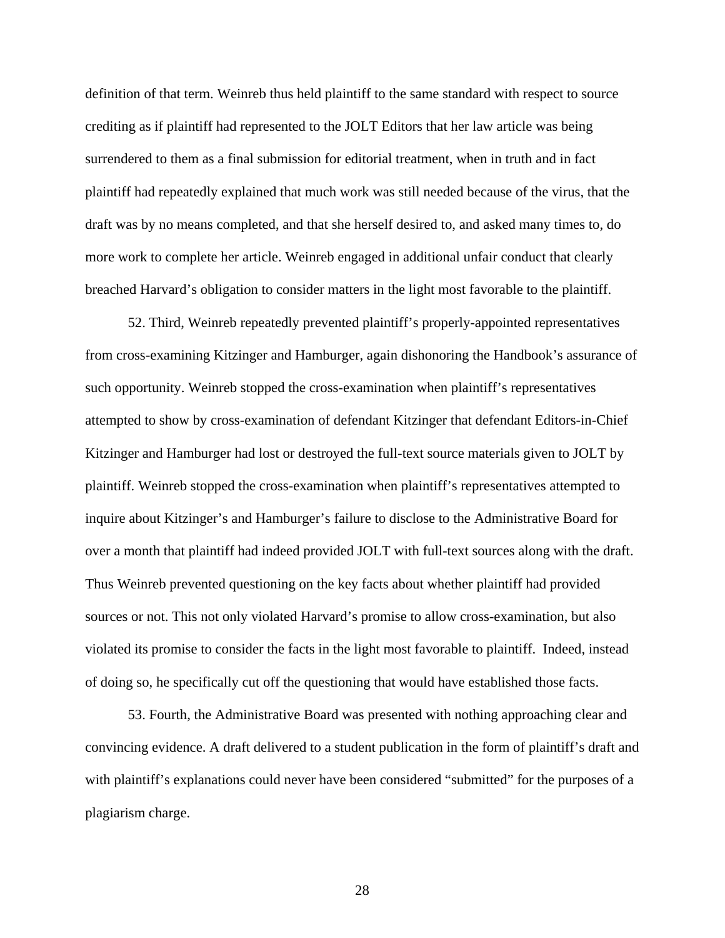definition of that term. Weinreb thus held plaintiff to the same standard with respect to source crediting as if plaintiff had represented to the JOLT Editors that her law article was being surrendered to them as a final submission for editorial treatment, when in truth and in fact plaintiff had repeatedly explained that much work was still needed because of the virus, that the draft was by no means completed, and that she herself desired to, and asked many times to, do more work to complete her article. Weinreb engaged in additional unfair conduct that clearly breached Harvard's obligation to consider matters in the light most favorable to the plaintiff.

52. Third, Weinreb repeatedly prevented plaintiff's properly-appointed representatives from cross-examining Kitzinger and Hamburger, again dishonoring the Handbook's assurance of such opportunity. Weinreb stopped the cross-examination when plaintiff's representatives attempted to show by cross-examination of defendant Kitzinger that defendant Editors-in-Chief Kitzinger and Hamburger had lost or destroyed the full-text source materials given to JOLT by plaintiff. Weinreb stopped the cross-examination when plaintiff's representatives attempted to inquire about Kitzinger's and Hamburger's failure to disclose to the Administrative Board for over a month that plaintiff had indeed provided JOLT with full-text sources along with the draft. Thus Weinreb prevented questioning on the key facts about whether plaintiff had provided sources or not. This not only violated Harvard's promise to allow cross-examination, but also violated its promise to consider the facts in the light most favorable to plaintiff. Indeed, instead of doing so, he specifically cut off the questioning that would have established those facts.

53. Fourth, the Administrative Board was presented with nothing approaching clear and convincing evidence. A draft delivered to a student publication in the form of plaintiff's draft and with plaintiff's explanations could never have been considered "submitted" for the purposes of a plagiarism charge.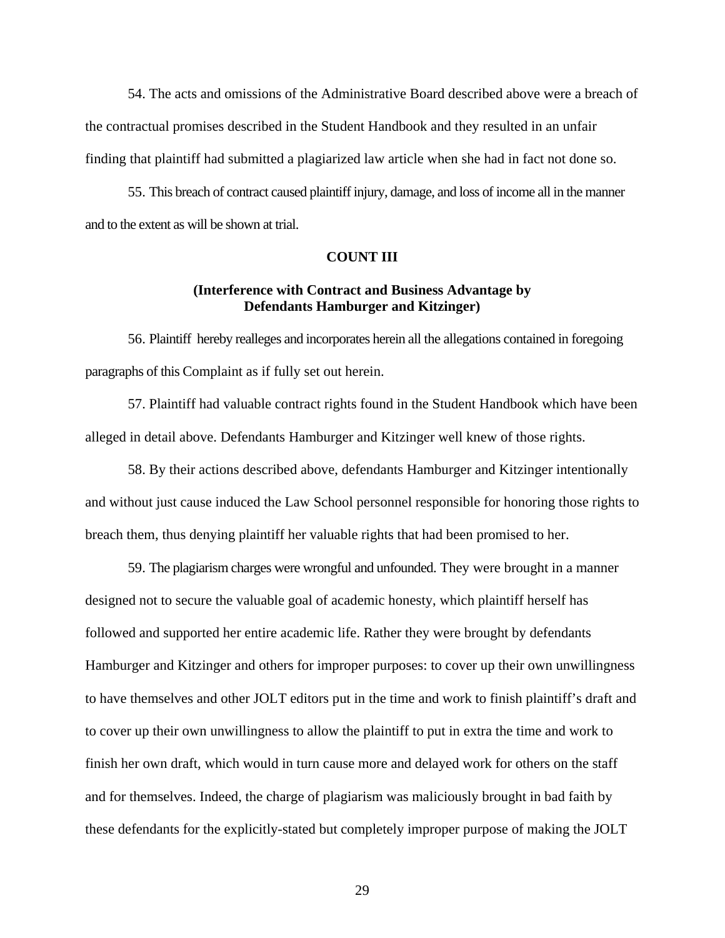54. The acts and omissions of the Administrative Board described above were a breach of the contractual promises described in the Student Handbook and they resulted in an unfair finding that plaintiff had submitted a plagiarized law article when she had in fact not done so.

55. This breach of contract caused plaintiff injury, damage, and loss of income all in the manner and to the extent as will be shown at trial.

### **COUNT III**

# **(Interference with Contract and Business Advantage by Defendants Hamburger and Kitzinger)**

56. Plaintiff hereby realleges and incorporates herein all the allegations contained in foregoing paragraphs of this Complaint as if fully set out herein.

57. Plaintiff had valuable contract rights found in the Student Handbook which have been alleged in detail above. Defendants Hamburger and Kitzinger well knew of those rights.

58. By their actions described above, defendants Hamburger and Kitzinger intentionally and without just cause induced the Law School personnel responsible for honoring those rights to breach them, thus denying plaintiff her valuable rights that had been promised to her.

59. The plagiarism charges were wrongful and unfounded. They were brought in a manner designed not to secure the valuable goal of academic honesty, which plaintiff herself has followed and supported her entire academic life. Rather they were brought by defendants Hamburger and Kitzinger and others for improper purposes: to cover up their own unwillingness to have themselves and other JOLT editors put in the time and work to finish plaintiff's draft and to cover up their own unwillingness to allow the plaintiff to put in extra the time and work to finish her own draft, which would in turn cause more and delayed work for others on the staff and for themselves. Indeed, the charge of plagiarism was maliciously brought in bad faith by these defendants for the explicitly-stated but completely improper purpose of making the JOLT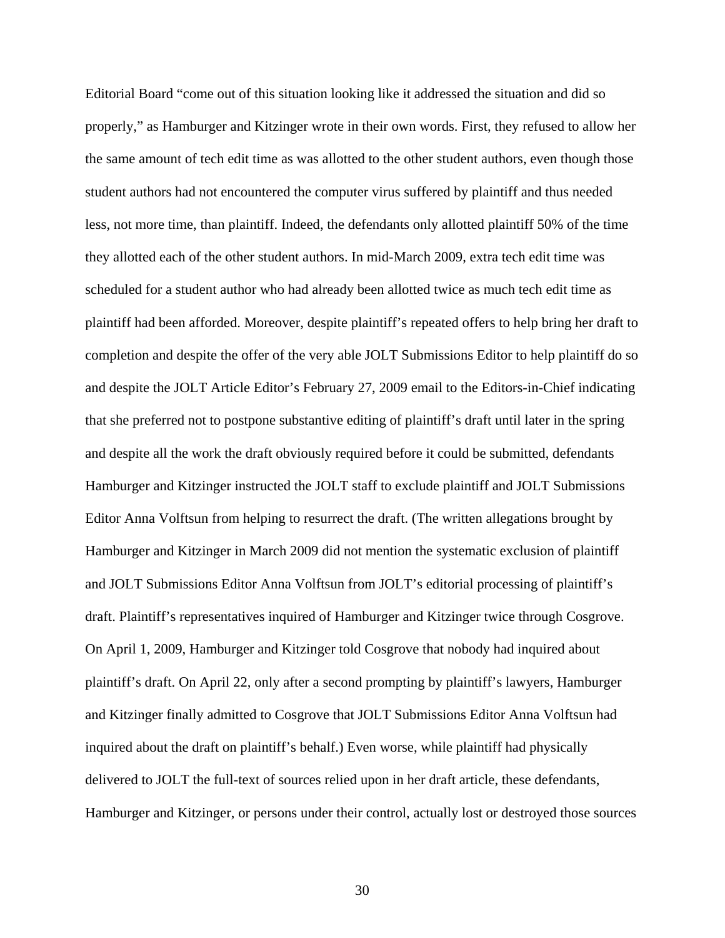Editorial Board "come out of this situation looking like it addressed the situation and did so properly," as Hamburger and Kitzinger wrote in their own words. First, they refused to allow her the same amount of tech edit time as was allotted to the other student authors, even though those student authors had not encountered the computer virus suffered by plaintiff and thus needed less, not more time, than plaintiff. Indeed, the defendants only allotted plaintiff 50% of the time they allotted each of the other student authors. In mid-March 2009, extra tech edit time was scheduled for a student author who had already been allotted twice as much tech edit time as plaintiff had been afforded. Moreover, despite plaintiff's repeated offers to help bring her draft to completion and despite the offer of the very able JOLT Submissions Editor to help plaintiff do so and despite the JOLT Article Editor's February 27, 2009 email to the Editors-in-Chief indicating that she preferred not to postpone substantive editing of plaintiff's draft until later in the spring and despite all the work the draft obviously required before it could be submitted, defendants Hamburger and Kitzinger instructed the JOLT staff to exclude plaintiff and JOLT Submissions Editor Anna Volftsun from helping to resurrect the draft. (The written allegations brought by Hamburger and Kitzinger in March 2009 did not mention the systematic exclusion of plaintiff and JOLT Submissions Editor Anna Volftsun from JOLT's editorial processing of plaintiff's draft. Plaintiff's representatives inquired of Hamburger and Kitzinger twice through Cosgrove. On April 1, 2009, Hamburger and Kitzinger told Cosgrove that nobody had inquired about plaintiff's draft. On April 22, only after a second prompting by plaintiff's lawyers, Hamburger and Kitzinger finally admitted to Cosgrove that JOLT Submissions Editor Anna Volftsun had inquired about the draft on plaintiff's behalf.) Even worse, while plaintiff had physically delivered to JOLT the full-text of sources relied upon in her draft article, these defendants, Hamburger and Kitzinger, or persons under their control, actually lost or destroyed those sources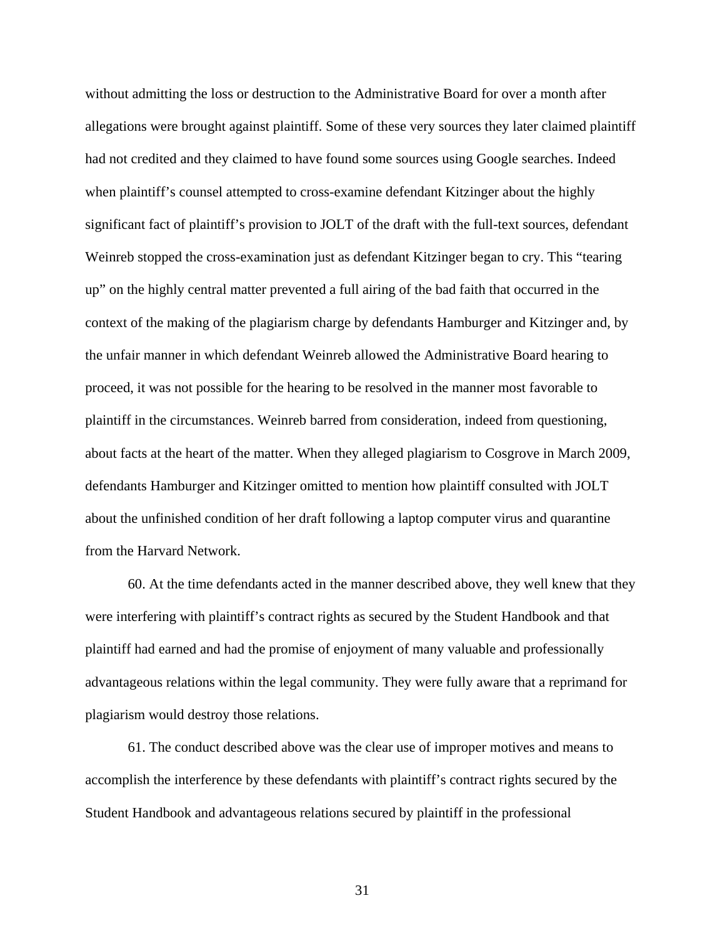without admitting the loss or destruction to the Administrative Board for over a month after allegations were brought against plaintiff. Some of these very sources they later claimed plaintiff had not credited and they claimed to have found some sources using Google searches. Indeed when plaintiff's counsel attempted to cross-examine defendant Kitzinger about the highly significant fact of plaintiff's provision to JOLT of the draft with the full-text sources, defendant Weinreb stopped the cross-examination just as defendant Kitzinger began to cry. This "tearing up" on the highly central matter prevented a full airing of the bad faith that occurred in the context of the making of the plagiarism charge by defendants Hamburger and Kitzinger and, by the unfair manner in which defendant Weinreb allowed the Administrative Board hearing to proceed, it was not possible for the hearing to be resolved in the manner most favorable to plaintiff in the circumstances. Weinreb barred from consideration, indeed from questioning, about facts at the heart of the matter. When they alleged plagiarism to Cosgrove in March 2009, defendants Hamburger and Kitzinger omitted to mention how plaintiff consulted with JOLT about the unfinished condition of her draft following a laptop computer virus and quarantine from the Harvard Network.

60. At the time defendants acted in the manner described above, they well knew that they were interfering with plaintiff's contract rights as secured by the Student Handbook and that plaintiff had earned and had the promise of enjoyment of many valuable and professionally advantageous relations within the legal community. They were fully aware that a reprimand for plagiarism would destroy those relations.

61. The conduct described above was the clear use of improper motives and means to accomplish the interference by these defendants with plaintiff's contract rights secured by the Student Handbook and advantageous relations secured by plaintiff in the professional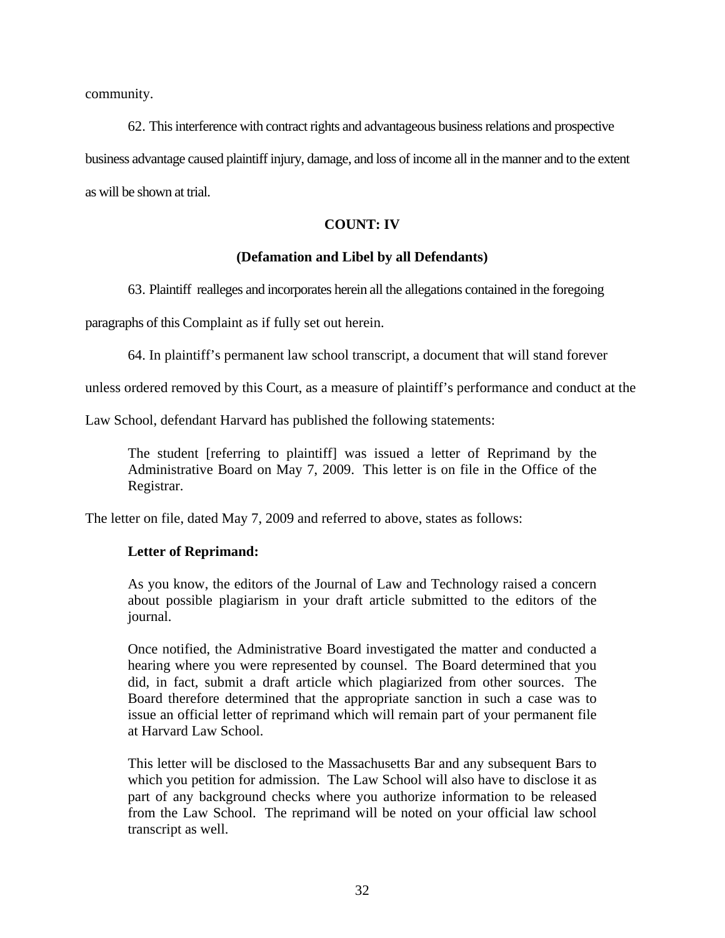community.

62. This interference with contract rights and advantageous business relations and prospective business advantage caused plaintiff injury, damage, and loss of income all in the manner and to the extent

as will be shown at trial.

# **COUNT: IV**

## **(Defamation and Libel by all Defendants)**

63. Plaintiff realleges and incorporates herein all the allegations contained in the foregoing

paragraphs of this Complaint as if fully set out herein.

64. In plaintiff's permanent law school transcript, a document that will stand forever

unless ordered removed by this Court, as a measure of plaintiff's performance and conduct at the

Law School, defendant Harvard has published the following statements:

The student [referring to plaintiff] was issued a letter of Reprimand by the Administrative Board on May 7, 2009. This letter is on file in the Office of the Registrar.

The letter on file, dated May 7, 2009 and referred to above, states as follows:

## **Letter of Reprimand:**

As you know, the editors of the Journal of Law and Technology raised a concern about possible plagiarism in your draft article submitted to the editors of the journal.

Once notified, the Administrative Board investigated the matter and conducted a hearing where you were represented by counsel. The Board determined that you did, in fact, submit a draft article which plagiarized from other sources. The Board therefore determined that the appropriate sanction in such a case was to issue an official letter of reprimand which will remain part of your permanent file at Harvard Law School.

This letter will be disclosed to the Massachusetts Bar and any subsequent Bars to which you petition for admission. The Law School will also have to disclose it as part of any background checks where you authorize information to be released from the Law School. The reprimand will be noted on your official law school transcript as well.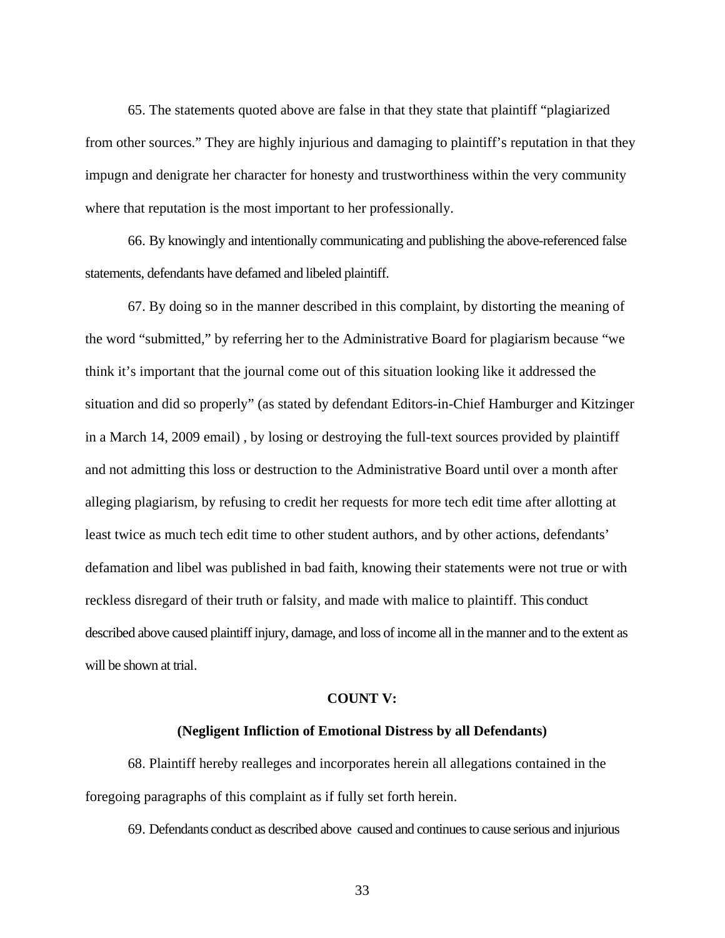65. The statements quoted above are false in that they state that plaintiff "plagiarized from other sources." They are highly injurious and damaging to plaintiff's reputation in that they impugn and denigrate her character for honesty and trustworthiness within the very community where that reputation is the most important to her professionally.

66. By knowingly and intentionally communicating and publishing the above-referenced false statements, defendants have defamed and libeled plaintiff.

67. By doing so in the manner described in this complaint, by distorting the meaning of the word "submitted," by referring her to the Administrative Board for plagiarism because "we think it's important that the journal come out of this situation looking like it addressed the situation and did so properly" (as stated by defendant Editors-in-Chief Hamburger and Kitzinger in a March 14, 2009 email) , by losing or destroying the full-text sources provided by plaintiff and not admitting this loss or destruction to the Administrative Board until over a month after alleging plagiarism, by refusing to credit her requests for more tech edit time after allotting at least twice as much tech edit time to other student authors, and by other actions, defendants' defamation and libel was published in bad faith, knowing their statements were not true or with reckless disregard of their truth or falsity, and made with malice to plaintiff. This conduct described above caused plaintiff injury, damage, and loss of income all in the manner and to the extent as will be shown at trial.

### **COUNT V:**

### **(Negligent Infliction of Emotional Distress by all Defendants)**

68. Plaintiff hereby realleges and incorporates herein all allegations contained in the foregoing paragraphs of this complaint as if fully set forth herein.

69. Defendants conduct as described above caused and continues to cause serious and injurious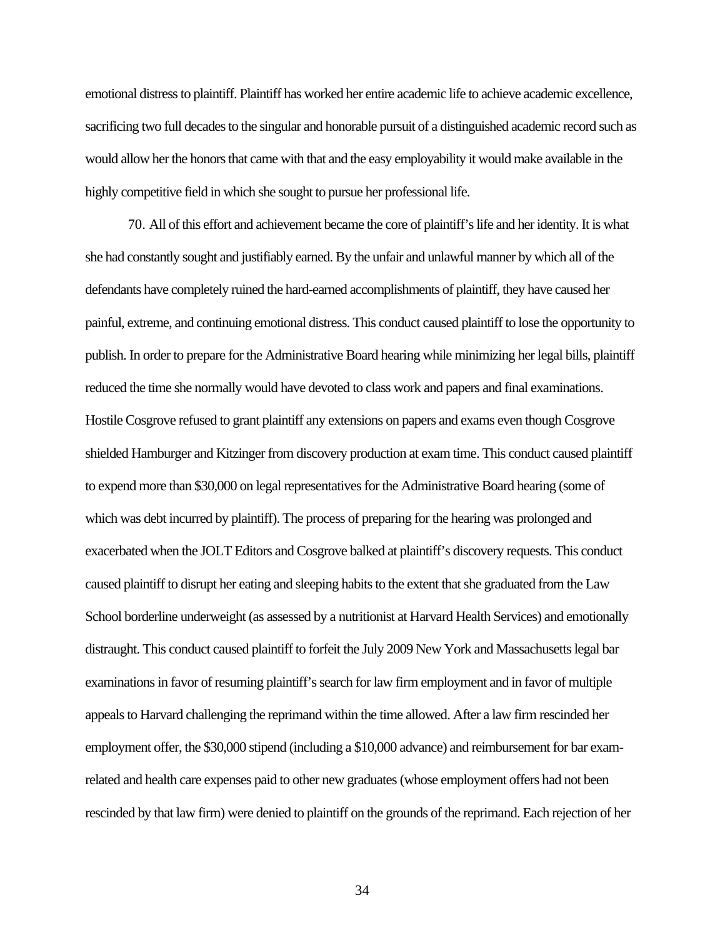emotional distress to plaintiff. Plaintiff has worked her entire academic life to achieve academic excellence, sacrificing two full decades to the singular and honorable pursuit of a distinguished academic record such as would allow her the honors that came with that and the easy employability it would make available in the highly competitive field in which she sought to pursue her professional life.

70. All of this effort and achievement became the core of plaintiff's life and her identity. It is what she had constantly sought and justifiably earned. By the unfair and unlawful manner by which all of the defendants have completely ruined the hard-earned accomplishments of plaintiff, they have caused her painful, extreme, and continuing emotional distress. This conduct caused plaintiff to lose the opportunity to publish. In order to prepare for the Administrative Board hearing while minimizing her legal bills, plaintiff reduced the time she normally would have devoted to class work and papers and final examinations. Hostile Cosgrove refused to grant plaintiff any extensions on papers and exams even though Cosgrove shielded Hamburger and Kitzinger from discovery production at exam time. This conduct caused plaintiff to expend more than \$30,000 on legal representatives for the Administrative Board hearing (some of which was debt incurred by plaintiff). The process of preparing for the hearing was prolonged and exacerbated when the JOLT Editors and Cosgrove balked at plaintiff's discovery requests. This conduct caused plaintiff to disrupt her eating and sleeping habits to the extent that she graduated from the Law School borderline underweight (as assessed by a nutritionist at Harvard Health Services) and emotionally distraught. This conduct caused plaintiff to forfeit the July 2009 New York and Massachusetts legal bar examinations in favor of resuming plaintiff's search for law firm employment and in favor of multiple appeals to Harvard challenging the reprimand within the time allowed. After a law firm rescinded her employment offer, the \$30,000 stipend (including a \$10,000 advance) and reimbursement for bar examrelated and health care expenses paid to other new graduates (whose employment offers had not been rescinded by that law firm) were denied to plaintiff on the grounds of the reprimand. Each rejection of her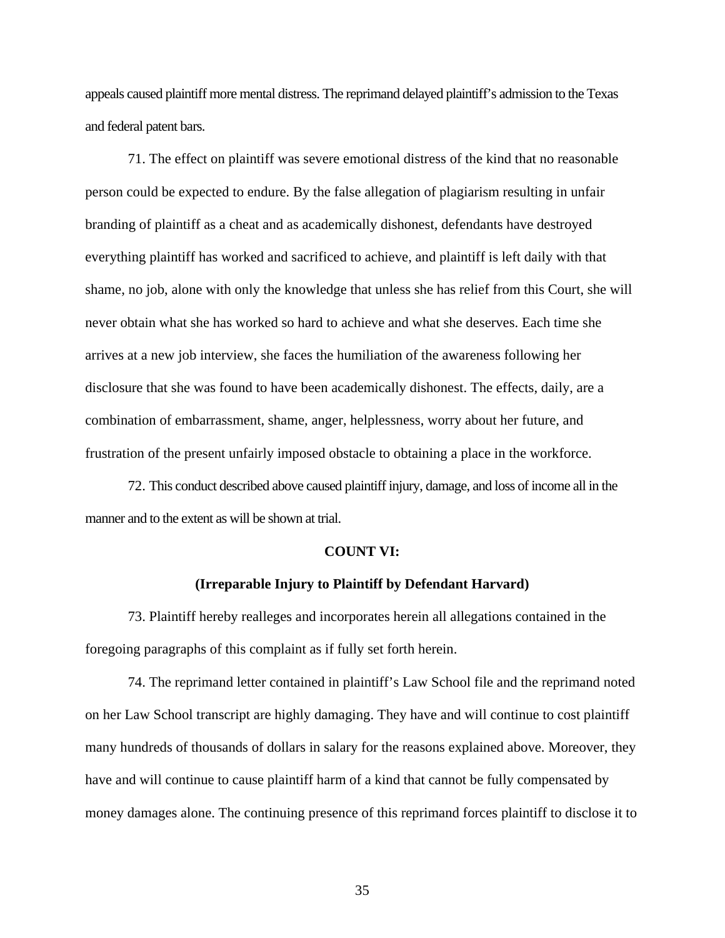appeals caused plaintiff more mental distress. The reprimand delayed plaintiff's admission to the Texas and federal patent bars.

71. The effect on plaintiff was severe emotional distress of the kind that no reasonable person could be expected to endure. By the false allegation of plagiarism resulting in unfair branding of plaintiff as a cheat and as academically dishonest, defendants have destroyed everything plaintiff has worked and sacrificed to achieve, and plaintiff is left daily with that shame, no job, alone with only the knowledge that unless she has relief from this Court, she will never obtain what she has worked so hard to achieve and what she deserves. Each time she arrives at a new job interview, she faces the humiliation of the awareness following her disclosure that she was found to have been academically dishonest. The effects, daily, are a combination of embarrassment, shame, anger, helplessness, worry about her future, and frustration of the present unfairly imposed obstacle to obtaining a place in the workforce.

72. This conduct described above caused plaintiff injury, damage, and loss of income all in the manner and to the extent as will be shown at trial.

#### **COUNT VI:**

## **(Irreparable Injury to Plaintiff by Defendant Harvard)**

73. Plaintiff hereby realleges and incorporates herein all allegations contained in the foregoing paragraphs of this complaint as if fully set forth herein.

74. The reprimand letter contained in plaintiff's Law School file and the reprimand noted on her Law School transcript are highly damaging. They have and will continue to cost plaintiff many hundreds of thousands of dollars in salary for the reasons explained above. Moreover, they have and will continue to cause plaintiff harm of a kind that cannot be fully compensated by money damages alone. The continuing presence of this reprimand forces plaintiff to disclose it to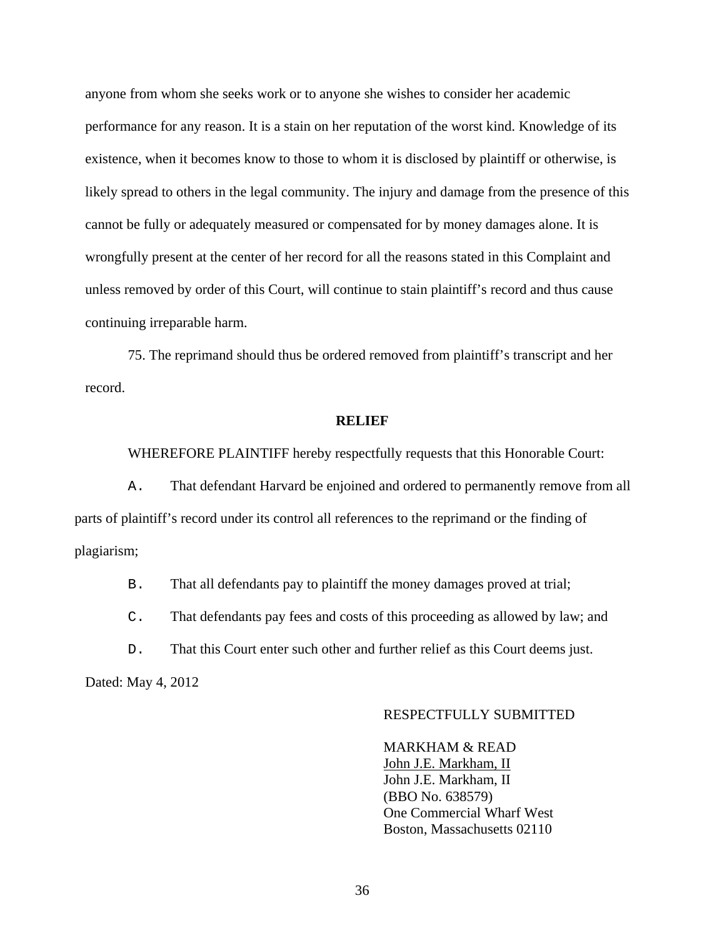anyone from whom she seeks work or to anyone she wishes to consider her academic performance for any reason. It is a stain on her reputation of the worst kind. Knowledge of its existence, when it becomes know to those to whom it is disclosed by plaintiff or otherwise, is likely spread to others in the legal community. The injury and damage from the presence of this cannot be fully or adequately measured or compensated for by money damages alone. It is wrongfully present at the center of her record for all the reasons stated in this Complaint and unless removed by order of this Court, will continue to stain plaintiff's record and thus cause continuing irreparable harm.

75. The reprimand should thus be ordered removed from plaintiff's transcript and her record.

### **RELIEF**

WHEREFORE PLAINTIFF hereby respectfully requests that this Honorable Court:

A. That defendant Harvard be enjoined and ordered to permanently remove from all parts of plaintiff's record under its control all references to the reprimand or the finding of plagiarism;

B. That all defendants pay to plaintiff the money damages proved at trial;

C. That defendants pay fees and costs of this proceeding as allowed by law; and

D. That this Court enter such other and further relief as this Court deems just.

Dated: May 4, 2012

## RESPECTFULLY SUBMITTED

 MARKHAM & READ John J.E. Markham, II John J.E. Markham, II (BBO No. 638579) One Commercial Wharf West Boston, Massachusetts 02110